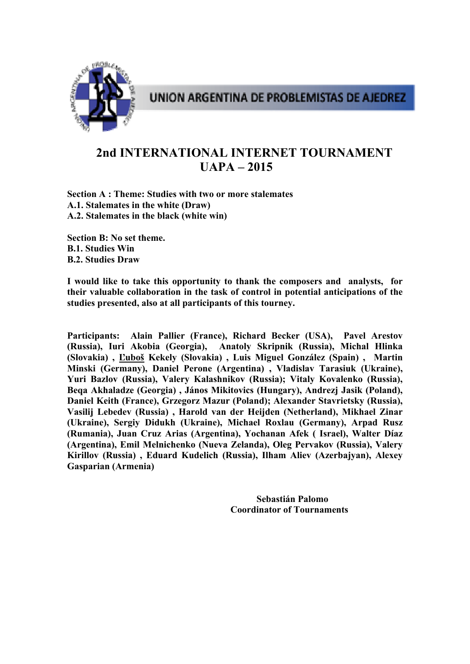

# **2nd INTERNATIONAL INTERNET TOURNAMENT UAPA – 2015**

**Section A : Theme: Studies with two or more stalemates A.1. Stalemates in the white (Draw) A.2. Stalemates in the black (white win)** 

**Section B: No set theme. B.1. Studies Win B.2. Studies Draw**

**I would like to take this opportunity to thank the composers and analysts, for their valuable collaboration in the task of control in potential anticipations of the studies presented, also at all participants of this tourney.** 

**Participants: Alain Pallier (France), Richard Becker (USA), Pavel Arestov (Russia), Iuri Akobia (Georgia), Anatoly Skripnik (Russia), Michal Hlinka (Slovakia) , Ľuboš Kekely (Slovakia) , Luis Miguel González (Spain) , Martin Minski (Germany), Daniel Perone (Argentina) , Vladislav Tarasiuk (Ukraine), Yuri Bazlov (Russia), Valery Kalashnikov (Russia); Vitaly Kovalenko (Russia), Beqa Akhaladze (Georgia) , János Mikitovics (Hungary), Andrezj Jasik (Poland), Daniel Keith (France), Grzegorz Mazur (Poland); Alexander Stavrietsky (Russia), Vasilij Lebedev (Russia) , Harold van der Heijden (Netherland), Mikhael Zinar (Ukraine), Sergiy Didukh (Ukraine), Michael Roxlau (Germany), Arpad Rusz (Rumania), Juan Cruz Arias (Argentina), Yochanan Afek ( Israel), Walter Díaz (Argentina), Emil Melnichenko (Nueva Zelanda), Oleg Pervakov (Russia), Valery Kirillov (Russia) , Eduard Kudelich (Russia), Ilham Aliev (Azerbajyan), Alexey Gasparian (Armenia)** 

> **Sebastián Palomo Coordinator of Tournaments**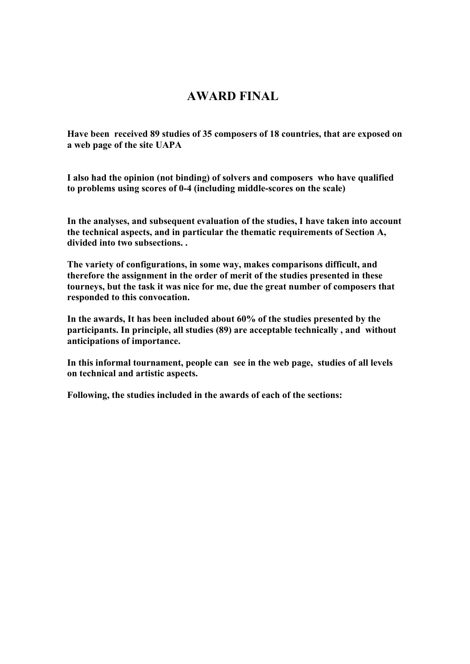## **AWARD FINAL**

**Have been received 89 studies of 35 composers of 18 countries, that are exposed on a web page of the site UAPA** 

**I also had the opinion (not binding) of solvers and composers who have qualified to problems using scores of 0-4 (including middle-scores on the scale)** 

**In the analyses, and subsequent evaluation of the studies, I have taken into account the technical aspects, and in particular the thematic requirements of Section A, divided into two subsections. .** 

**The variety of configurations, in some way, makes comparisons difficult, and therefore the assignment in the order of merit of the studies presented in these tourneys, but the task it was nice for me, due the great number of composers that responded to this convocation.** 

**In the awards, It has been included about 60% of the studies presented by the participants. In principle, all studies (89) are acceptable technically , and without anticipations of importance.** 

**In this informal tournament, people can see in the web page, studies of all levels on technical and artistic aspects.** 

**Following, the studies included in the awards of each of the sections:**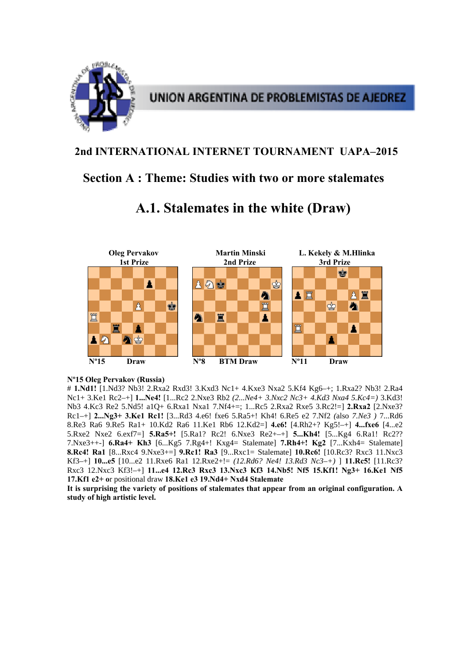

## **2nd INTERNATIONAL INTERNET TOURNAMENT UAPA–2015**

## **Section A : Theme: Studies with two or more stalemates**



# **A.1. Stalemates in the white (Draw)**

## **Nº15 Oleg Pervakov (Russia)**

# **1.Nd1!** [1.Nd3? Nb3! 2.Rxa2 Rxd3! 3.Kxd3 Nc1+ 4.Kxe3 Nxa2 5.Kf4 Kg6–+; 1.Rxa2? Nb3! 2.Ra4 Nc1+ 3.Ke1 Rc2–+] **1...Ne4!** [1...Rc2 2.Nxe3 Rb2 *(2...Ne4+ 3.Nxc2 Nc3+ 4.Kd3 Nxa4 5.Kc4=)* 3.Kd3! Nb3 4.Kc3 Re2 5.Nd5! a1Q+ 6.Rxa1 Nxa1 7.Nf4+=; 1...Rc5 2.Rxa2 Rxe5 3.Rc2!=] **2.Rxa2** [2.Nxe3? Rc1–+] **2...Ng3+ 3.Ke1 Rc1!** [3...Rd3 4.e6! fxe6 5.Ra5+! Kh4! 6.Re5 e2 7.Nf2 *(*also *7.Ne3 )* 7...Rd6 8.Re3 Ra6 9.Re5 Ra1+ 10.Kd2 Ra6 11.Ke1 Rb6 12.Kd2=] **4.e6!** [4.Rh2+? Kg5!–+] **4...fxe6** [4...e2 5.Rxe2 Nxe2 6.exf7=] **5.Ra5+!** [5.Ra1? Rc2! 6.Nxe3 Re2+–+] **5...Kh4!** [5...Kg4 6.Ra1! Rc2?? 7.Nxe3++-] **6.Ra4+ Kh3** [6...Kg5 7.Rg4+! Kxg4= Stalemate] **7.Rh4+! Kg2** [7...Kxh4= Stalemate] **8.Rc4! Ra1** [8...Rxc4 9.Nxe3+=] **9.Rc1! Ra3** [9...Rxc1= Stalemate] **10.Rc6!** [10.Rc3? Rxc3 11.Nxc3 Kf3–+] **10...e5** [10...e2 11.Rxe6 Ra1 12.Rxe2+!= *(12.Rd6? Ne4! 13.Rd3 Nc3–+)* ] **11.Rc5!** [11.Rc3? Rxc3 12.Nxc3 Kf3!–+] **11...e4 12.Rc3 Rxc3 13.Nxc3 Kf3 14.Nb5! Nf5 15.Kf1! Ng3+ 16.Ke1 Nf5 17.Kf1 e2+ o**r positional draw **18.Ke1 e3 19.Nd4+ Nxd4 Stalemate**

**It is surprising the variety of positions of stalemates that appear from an original configuration. A study of high artistic level.**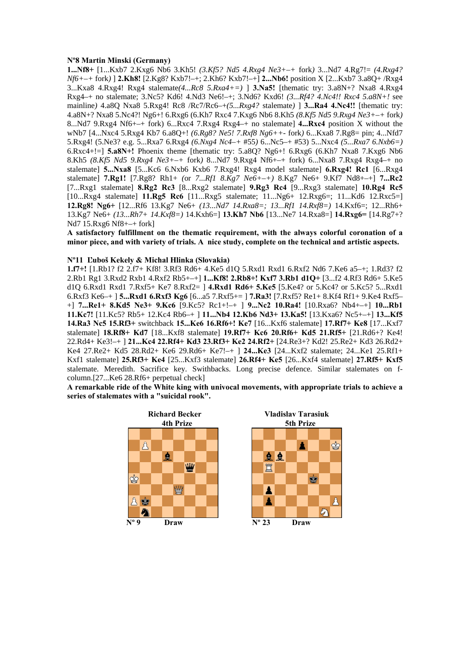#### **Nº8 Martin Minski (Germany)**

**1...Nf8+** [1...Kxb7 2.Kxg6 Nb6 3.Kh5! *(3.Kf5? Nd5 4.Rxg4 Ne3+–+* fork*)* 3...Nd7 4.Rg7!= *(4.Rxg4? Nf6+–+* fork*)* ] **2.Kh8!** [2.Kg8? Kxb7!–+; 2.Kh6? Kxb7!–+] **2...Nb6!** position X [2...Kxb7 3.a8Q+ /Rxg4 3...Kxa8 4.Rxg4! Rxg4 stalemate*(4...Rc8 5.Rxa4+=)* ] **3.Na5!** [thematic try: 3.a8N+? Nxa8 4.Rxg4 Rxg4–+ no stalemate; 3.Nc5? Kd6! 4.Nd3 Ne6!–+; 3.Nd6? Kxd6! *(3...Rf4? 4.Nc4!! Rxc4 5.a8N+!* see mainline*)* 4.a8Q Nxa8 5.Rxg4! Rc8 /Rc7/Rc6–+*(5...Rxg4?* stalemate*)* ] **3...Ra4 4.Nc4!!** [thematic try: 4.a8N+? Nxa8 5.Nc4?! Ng6+! 6.Rxg6 (6.Kh7 Rxc4 7.Kxg6 Nb6 8.Kh5 *(8.Kf5 Nd5 9.Rxg4 Ne3+–+* fork*)*  8...Nd7 9.Rxg4 Nf6+–+ fork) 6...Rxc4 7.Rxg4 Rxg4–+ no stalemate] **4...Rxc4** position X without the wNb7 [4...Nxc4 5.Rxg4 Kb7 6.a8Q+! *(6.Rg8? Ne5! 7.Rxf8 Ng6++-* fork*)* 6...Kxa8 7.Rg8= pin; 4...Nfd7 5.Rxg4! (5.Ne3? e.g. 5...Rxa7 6.Rxg4 *(6.Nxg4 Nc4–+* #55*)* 6...Nc5–+ #53) 5...Nxc4 *(5...Rxa7 6.Nxb6=)*  6.Rxc4+!=] **5.a8N+!** Phoenix theme [thematic try: 5.a8Q? Ng6+! 6.Rxg6 (6.Kh7 Nxa8 7.Kxg6 Nb6 8.Kh5 *(8.Kf5 Nd5 9.Rxg4 Ne3+–+* fork*)* 8...Nd7 9.Rxg4 Nf6+–+ fork) 6...Nxa8 7.Rxg4 Rxg4–+ no stalemate] **5...Nxa8** [5...Kc6 6.Nxb6 Kxb6 7.Rxg4! Rxg4 model stalemate] **6.Rxg4! Rc1** [6...Rxg4 stalemate] **7.Rg1!** [7.Rg8? Rh1+ *(*or *7...Rf1 8.Kg7 Ne6+–+)* 8.Kg7 Ne6+ 9.Kf7 Nd8+–+] **7...Rc2**  [7...Rxg1 stalemate] **8.Rg2 Rc3** [8...Rxg2 stalemate] **9.Rg3 Rc4** [9...Rxg3 stalemate] **10.Rg4 Rc5**  [10...Rxg4 stalemate] **11.Rg5 Rc6** [11...Rxg5 stalemate; 11...Ng6+ 12.Rxg6=; 11...Kd6 12.Rxc5=] **12.Rg8! Ng6+** [12...Rf6 13.Kg7 Ne6+ *(13...Nd7 14.Rxa8=; 13...Rf1 14.Rxf8=)* 14.Kxf6=; 12...Rh6+ 13.Kg7 Ne6+ *(13...Rh7+ 14.Kxf8=)* 14.Kxh6=] **13.Kh7 Nb6** [13...Ne7 14.Rxa8=] **14.Rxg6=** [14.Rg7+? Nd7 15.Rxg6 Nf8+–+ fork]

**A satisfactory fulfillment on the thematic requirement, with the always colorful coronation of a minor piece, and with variety of trials. A nice study, complete on the technical and artistic aspects.** 

## **Nº11 Ľuboš Kekely & Michal Hlinka (Slovakia)**

**1.f7+!** [1.Rb1? f2 2.f7+ Kf8! 3.Rf3 Rd6+ 4.Ke5 d1Q 5.Rxd1 Rxd1 6.Rxf2 Nd6 7.Ke6 a5–+; 1.Rd3? f2 2.Rb1 Rg1 3.Rxd2 Rxb1 4.Rxf2 Rb5+–+] **1...Kf8! 2.Rb8+! Kxf7 3.Rb1 d1Q+** [3...f2 4.Rf3 Rd6+ 5.Ke5 d1Q 6.Rxd1 Rxd1 7.Rxf5+ Ke7 8.Rxf2= ] **4.Rxd1 Rd6+ 5.Ke5** [5.Ke4? or 5.Kc4? or 5.Kc5? 5...Rxd1 6.Rxf3 Ke6–+ ] **5...Rxd1 6.Rxf3 Kg6** [6...a5 7.Rxf5+= ] **7.Ra3!** [7.Rxf5? Re1+ 8.Kf4 Rf1+ 9.Ke4 Rxf5– +] **7...Re1+ 8.Kd5 Ne3+ 9.Kc6** [9.Kc5? Rc1+!–+ ] **9...Nc2 10.Ra4!** [10.Rxa6? Nb4+–+] **10...Rb1 11.Kc7!** [11.Kc5? Rb5+ 12.Kc4 Rb6–+ ] **11...Nb4 12.Kb6 Nd3+ 13.Ka5!** [13.Kxa6? Nc5+–+] **13...Kf5 14.Ra3 Nc5 15.Rf3+** switchback **15...Ke6 16.Rf6+! Ke7** [16...Kxf6 stalemate] **17.Rf7+ Ke8** [17...Kxf7 stalemate] **18.Rf8+ Kd7** [18...Kxf8 stalemate] **19.Rf7+ Kc6 20.Rf6+ Kd5 21.Rf5+** [21.Rd6+? Ke4! 22.Rd4+ Ke3!–+ ] **21...Kc4 22.Rf4+ Kd3 23.Rf3+ Ke2 24.Rf2+** [24.Re3+? Kd2! 25.Re2+ Kd3 26.Rd2+ Ke4 27.Re2+ Kd5 28.Rd2+ Ke6 29.Rd6+ Ke7!–+ ] **24...Ke3** [24...Kxf2 stalemate; 24...Ke1 25.Rf1+ Kxf1 stalemate] **25.Rf3+ Ke4** [25...Kxf3 stalemate] **26.Rf4+ Ke5** [26...Kxf4 stalemate] **27.Rf5+ Kxf5**  stalemate. Meredith. Sacrifice key. Swithbacks. Long precise defence. Similar stalemates on fcolumn.[27...Ke6 28.Rf6+ perpetual check]

**A remarkable ride of the White king with univocal movements, with appropriate trials to achieve a series of stalemates with a "suicidal rook".** 

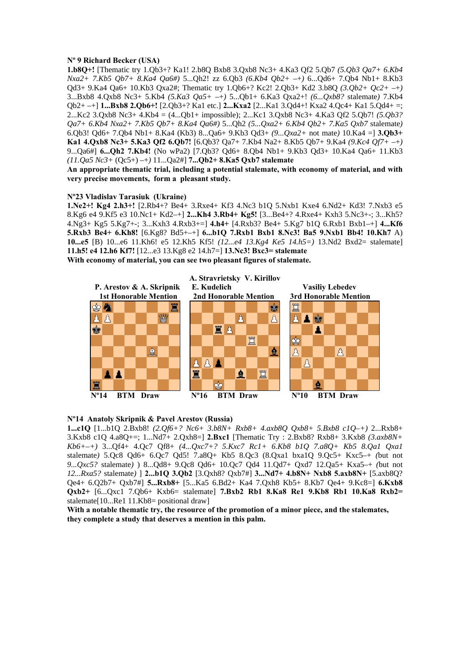### **Nº 9 Richard Becker (USA)**

**1.b8Q+!** [Thematic try 1.Qb3+? Ka1! 2.b8Q Bxb8 3.Qxb8 Nc3+ 4.Ka3 Qf2 5.Qb7 *(5.Qb3 Qa7+ 6.Kb4 Nxa2+ 7.Kb5 Qb7+ 8.Ka4 Qa6#)* 5...Qh2! zz 6.Qb3 *(6.Kb4 Qb2+* –+*)* 6...Qd6+ 7.Qb4 Nb1+ 8.Kb3 Qd3+ 9.Ka4 Qa6+ 10.Kb3 Qxa2#; Thematic try 1.Qb6+? Kc2! 2.Qb3+ Kd2 3.b8Q *(3.Qb2+ Qc2+* –+*)*  3...Bxb8 4.Qxb8 Nc3+ 5.Kb4 *(5.Ka3 Qa5+* –+*)* 5...Qb1+ 6.Ka3 Qxa2+! *(6...Qxb8?* stalemate*)* 7.Kb4 Qb2+ –+] **1...Bxb8 2.Qb6+!** [2.Qb3+? Ka1 etc.] **2...Kxa2** [2...Ka1 3.Qd4+! Kxa2 4.Qc4+ Ka1 5.Qd4+ =; 2...Kc2 3.Qxb8 Nc3+ 4.Kb4 = (4...Qb1+ impossible); 2...Kc1 3.Qxb8 Nc3+ 4.Ka3 Qf2 5.Qb7! *(5.Qb3? Qa7+ 6.Kb4 Nxa2+ 7.Kb5 Qb7+ 8.Ka4 Qa6#)* 5...Qh2 *(5...Qxa2+ 6.Kb4 Qb2+ 7.Ka5 Qxb7* stalemate*)*  6.Qb3! Qd6+ 7.Qb4 Nb1+ 8.Ka4 (Kb3) 8...Qa6+ 9.Kb3 Qd3+ *(9...Qxa2+* not mate*)* 10.Ka4 =] **3.Qb3+ Ka1 4.Qxb8 Nc3+ 5.Ka3 Qf2 6.Qb7!** [6.Qb3? Qa7+ 7.Kb4 Na2+ 8.Kb5 Qb7+ 9.Ka4 *(9.Kc4 Qf7+* –+*)*  9...Qa6#] **6...Qh2 7.Kb4!** (No wPa2) [7.Qb3? Qd6+ 8.Qb4 Nb1+ 9.Kb3 Qd3+ 10.Ka4 Qa6+ 11.Kb3 *(11.Qa5 Nc3+* (Qc5+) –+*)* 11...Qa2#] **7...Qb2+ 8.Ka5 Qxb7 stalemate**

**An appropriate thematic trial, including a potential stalemate, with economy of material, and with very precise movements, form a pleasant study.** 

## **Nº23 Vladislav Tarasiuk (Ukraine)**

**1.Ne2+! Kg4 2.h3+!** [2.Rb4+? Be4+ 3.Rxe4+ Kf3 4.Nc3 b1Q 5.Nxb1 Kxe4 6.Nd2+ Kd3! 7.Nxb3 e5 8.Kg6 e4 9.Kf5 e3 10.Nc1+ Kd2–+] **2...Kh4 3.Rb4+ Kg5!** [3...Be4+? 4.Rxe4+ Kxh3 5.Nc3+-; 3...Kh5? 4.Ng3+ Kg5 5.Kg7+-; 3...Kxh3 4.Rxb3+=] **4.h4+** [4.Rxb3? Be4+ 5.Kg7 b1Q 6.Rxb1 Bxb1–+] **4...Kf6 5.Rxb3 Be4+ 6.Kh8!** [6.Kg8? Bd5+–+] **6...b1Q 7.Rxb1 Bxb1 8.Nc3! Ba5 9.Nxb1 Bb4! 10.Kh7** A) **10...e5** [B) 10...e6 11.Kh6! e5 12.Kh5 Kf5! *(12...e4 13.Kg4 Ke5 14.h5=)* 13.Nd2 Bxd2= stalemate] **11.h5! e4 12.h6 Kf7!** [12...e3 13.Kg8 e2 14.h7=] **13.Nc3! Bxc3= stalemate With economy of material, you can see two pleasant figures of stalemate.** 



### **Nº14 Anatoly Skripnik & Pavel Arestov (Russia)**

**1...c1Q** [1...b1Q 2.Bxb8! *(2.Qf6+? Nc6+ 3.b8N+ Rxb8+ 4.axb8Q Qxb8+ 5.Bxb8 c1Q–+)* 2...Rxb8+ 3.Kxb8 c1Q 4.a8Q+=; 1...Nd7+ 2.Qxh8=] **2.Bxc1** [Thematic Try : 2.Bxb8? Rxb8+ 3.Kxb8 *(3.axb8N+ Kb6+–+)* 3...Qf4+ 4.Qc7 Qf8+ *(4...Qxc7+? 5.Kxc7 Rc1+ 6.Kb8 b1Q 7.a8Q+ Kb5 8.Qa1 Qxa1*  stalemate*)* 5.Qc8 Qd6+ 6.Qc7 Qd5! 7.a8Q+ Kb5 8.Qc3 (8.Qxa1 bxa1Q 9.Qc5+ Kxc5–+ *(*but not *9...Qxc5?* stalemate*)* ) 8...Qd8+ 9.Qc8 Qd6+ 10.Qc7 Qd4 11.Qd7+ Qxd7 12.Qa5+ Kxa5–+ *(*but not *12...Rxa5?* stalemate*)* ] **2...b1Q 3.Qb2** [3.Qxh8? Qxb7#] **3...Nd7+ 4.b8N+ Nxb8 5.axb8N+** [5.axb8Q? Qe4+ 6.Q2b7+ Qxb7#] **5...Rxb8+** [5...Ka5 6.Bd2+ Ka4 7.Qxh8 Kb5+ 8.Kb7 Qe4+ 9.Kc8=] **6.Kxb8 Qxb2+** [6...Qxc1 7.Qb6+ Kxb6= stalemate] **7.Bxb2 Rb1 8.Ka8 Re1 9.Kb8 Rb1 10.Ka8 Rxb2=**  stalemate<sup>[10...Re1 11.Kb8=</sup> positional draw]

**With a notable thematic try, the resource of the promotion of a minor piece, and the stalemates, they complete a study that deserves a mention in this palm.**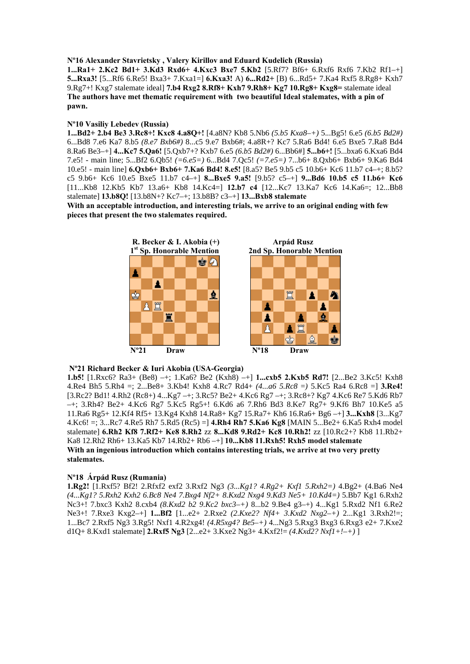**Nº16 Alexander Stavrietsky , Valery Kirillov and Eduard Kudelich (Russia)** 

**1...Ra1+ 2.Kc2 Bd1+ 3.Kd3 Rxd6+ 4.Kxc3 Bxe7 5.Kb2** [5.Rf7? Bf6+ 6.Rxf6 Rxf6 7.Kb2 Rf1–+] **5...Rxa3!** [5...Rf6 6.Re5! Bxa3+ 7.Kxa1=] **6.Kxa3!** A) **6...Rd2+** [B) 6...Rd5+ 7.Ka4 Rxf5 8.Rg8+ Kxh7 9.Rg7+! Kxg7 stalemate ideal] **7.b4 Rxg2 8.Rf8+ Kxh7 9.Rh8+ Kg7 10.Rg8+ Kxg8=** stalemate ideal **The authors have met thematic requirement with two beautiful Ideal stalemates, with a pin of pawn.** 

## **Nº10 Vasiliy Lebedev (Russia)**

**1...Bd2+ 2.b4 Be3 3.Rc8+! Kxc8 4.a8Q+!** [4.a8N? Kb8 5.Nb6 *(5.b5 Kxa8–+)* 5...Bg5! 6.e5 *(6.b5 Bd2#)*  6...Bd8 7.e6 Ka7 8.b5 *(8.e7 Bxb6#)* 8...c5 9.e7 Bxb6#; 4.a8R+? Kc7 5.Ra6 Bd4! 6.e5 Bxe5 7.Ra8 Bd4 8.Ra6 Be3–+] **4...Kc7 5.Qa6!** [5.Qxb7+? Kxb7 6.e5 *(6.b5 Bd2#)* 6...Bb6#] **5...b6+!** [5...bxa6 6.Kxa6 Bd4 7.e5! - main line; 5...Bf2 6.Qb5! *(=6.e5=)* 6...Bd4 7.Qc5! *(=7.e5=)* 7...b6+ 8.Qxb6+ Bxb6+ 9.Ka6 Bd4 10.e5! - main line] **6.Qxb6+ Bxb6+ 7.Ka6 Bd4! 8.e5!** [8.a5? Be5 9.b5 c5 10.b6+ Kc6 11.b7 c4–+; 8.b5? c5 9.b6+ Kc6 10.e5 Bxe5 11.b7 c4–+] **8...Bxe5 9.a5!** [9.b5? c5–+] **9...Bd6 10.b5 c5 11.b6+ Kc6**  [11...Kb8 12.Kb5 Kb7 13.a6+ Kb8 14.Kc4=] **12.b7 c4** [12...Kc7 13.Ka7 Kc6 14.Ka6=; 12...Bb8 stalemate] **13.b8Q!** [13.b8N+? Kc7–+; 13.b8B? c3–+] **13...Bxb8 stalemate**

**With an acceptable introduction, and interesting trials, we arrive to an original ending with few pieces that present the two stalemates required.** 



## **Nº21 Richard Becker & Iuri Akobia (USA-Georgia)**

**1.b5!** [1.Rxc6? Ra3+ (Be8) –+; 1.Ka6? Be2 (Kxh8) –+] **1...cxb5 2.Kxb5 Rd7!** [2...Be2 3.Kc5! Kxh8 4.Re4 Bh5 5.Rh4 =; 2...Be8+ 3.Kb4! Kxh8 4.Rc7 Rd4+ *(4...a6 5.Rc8* =*)* 5.Kc5 Ra4 6.Rc8 =] **3.Re4!**  [3.Rc2? Bd1! 4.Rh2 (Rc8+) 4...Kg7 –+; 3.Rc5? Be2+ 4.Kc6 Rg7 –+; 3.Rc8+? Kg7 4.Kc6 Re7 5.Kd6 Rb7 –+; 3.Rh4? Be2+ 4.Kc6 Rg7 5.Kc5 Rg5+! 6.Kd6 a6 7.Rh6 Bd3 8.Ke7 Rg7+ 9.Kf6 Bh7 10.Ke5 a5 11.Ra6 Rg5+ 12.Kf4 Rf5+ 13.Kg4 Kxh8 14.Ra8+ Kg7 15.Ra7+ Kh6 16.Ra6+ Bg6 –+] **3...Kxh8** [3...Kg7 4.Kc6! =; 3...Rc7 4.Re5 Rh7 5.Rd5 (Rc5) =] **4.Rh4 Rh7 5.Ka6 Kg8** [MAIN 5...Be2+ 6.Ka5 Rxh4 model stalemate] **6.Rh2 Kf8 7.Rf2+ Ke8 8.Rh2** zz **8...Kd8 9.Rd2+ Kc8 10.Rh2!** zz [10.Rc2+? Kb8 11.Rb2+ Ka8 12.Rh2 Rh6+ 13.Ka5 Kb7 14.Rb2+ Rb6 –+] **10...Kb8 11.Rxh5! Rxh5 model stalemate With an ingenious introduction which contains interesting trials, we arrive at two very pretty stalemates.** 

## **Nº18 Árpád Rusz (Rumania)**

**1.Rg2!** [1.Rxf5? Bf2! 2.Rfxf2 exf2 3.Rxf2 Ng3 *(3...Kg1? 4.Rg2+ Kxf1 5.Rxh2=)* 4.Bg2+ (4.Ba6 Ne4 *(4...Kg1? 5.Rxh2 Kxh2 6.Bc8 Ne4 7.Bxg4 Nf2+ 8.Kxd2 Nxg4 9.Kd3 Ne5+ 10.Kd4=)* 5.Bb7 Kg1 6.Rxh2 Nc3+! 7.bxc3 Kxh2 8.cxb4 *(8.Kxd2 b2 9.Kc2 bxc3–+)* 8...b2 9.Be4 g3–+) 4...Kg1 5.Rxd2 Nf1 6.Re2 Ne3+! 7.Rxe3 Kxg2–+] **1...Bf2** [1...e2+ 2.Rxe2 *(2.Kxe2? Nf4+ 3.Kxd2 Nxg2–+)* 2...Kg1 3.Rxh2!=; 1...Bc7 2.Rxf5 Ng3 3.Rg5! Nxf1 4.R2xg4! *(4.R5xg4? Be5–+)* 4...Ng3 5.Rxg3 Bxg3 6.Rxg3 e2+ 7.Kxe2 d1Q+ 8.Kxd1 stalemate] **2.Rxf5 Ng3** [2...e2+ 3.Kxe2 Ng3+ 4.Kxf2!= *(4.Kxd2? Nxf1+!–+)* ]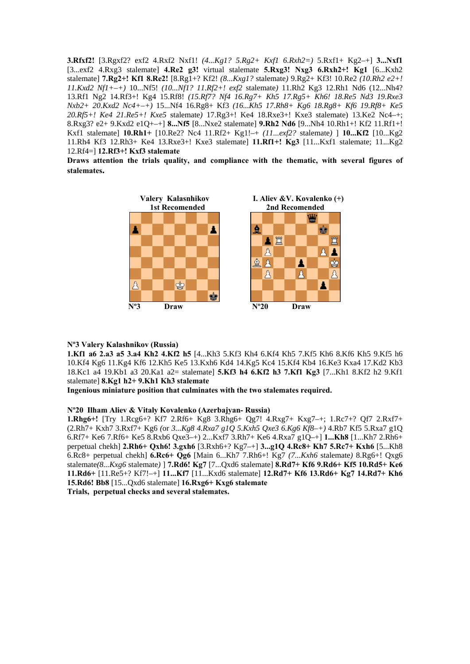**3.Rfxf2!** [3.Rgxf2? exf2 4.Rxf2 Nxf1! *(4...Kg1? 5.Rg2+ Kxf1 6.Rxh2=)* 5.Rxf1+ Kg2–+] **3...Nxf1**  [3...exf2 4.Rxg3 stalemate] **4.Re2 g3!** virtual stalemate **5.Rxg3! Nxg3 6.Rxh2+! Kg1** [6...Kxh2 stalemate] **7.Rg2+! Kf1 8.Re2!** [8.Rg1+? Kf2! *(8...Kxg1?* stalemate*)* 9.Rg2+ Kf3! 10.Re2 *(10.Rh2 e2+! 11.Kxd2 Nf1+–+)* 10...Nf5! *(10...Nf1? 11.Rf2+! exf2* stalemate*)* 11.Rh2 Kg3 12.Rh1 Nd6 (12...Nh4? 13.Rf1 Ng2 14.Rf3+! Kg4 15.Rf8! *(15.Rf7? Nf4 16.Rg7+ Kh5 17.Rg5+ Kh6! 18.Re5 Nd3 19.Rxe3 Nxb2+ 20.Kxd2 Nc4+–+)* 15...Nf4 16.Rg8+ Kf3 *(16...Kh5 17.Rh8+ Kg6 18.Rg8+ Kf6 19.Rf8+ Ke5 20.Rf5+! Ke4 21.Re5+! Kxe5* stalemate*)* 17.Rg3+! Ke4 18.Rxe3+! Kxe3 stalemate) 13.Ke2 Nc4–+; 8.Rxg3? e2+ 9.Kxd2 e1Q+–+] **8...Nf5** [8...Nxe2 stalemate] **9.Rh2 Nd6** [9...Nh4 10.Rh1+! Kf2 11.Rf1+! Kxf1 stalemate] **10.Rh1+** [10.Re2? Nc4 11.Rf2+ Kg1!–+ *(11...exf2?* stalemate*)* ] **10...Kf2** [10...Kg2 11.Rh4 Kf3 12.Rh3+ Ke4 13.Rxe3+! Kxe3 stalemate] **11.Rf1+! Kg3** [11...Kxf1 stalemate; 11...Kg2 12.Rf4=] **12.Rf3+! Kxf3 stalemate**

**Draws attention the trials quality, and compliance with the thematic, with several figures of stalemates.** 



## **Nº3 Valery Kalashnikov (Russia)**

**1.Kf1 a6 2.a3 a5 3.a4 Kh2 4.Kf2 h5** [4...Kh3 5.Kf3 Kh4 6.Kf4 Kh5 7.Kf5 Kh6 8.Kf6 Kh5 9.Kf5 h6 10.Kf4 Kg6 11.Kg4 Kf6 12.Kh5 Ke5 13.Kxh6 Kd4 14.Kg5 Kc4 15.Kf4 Kb4 16.Ke3 Kxa4 17.Kd2 Kb3 18.Kc1 a4 19.Kb1 a3 20.Ka1 a2= stalemate] **5.Kf3 h4 6.Kf2 h3 7.Kf1 Kg3** [7...Kh1 8.Kf2 h2 9.Kf1 stalemate] **8.Kg1 h2+ 9.Kh1 Kh3 stalemate**

**Ingenious miniature position that culminates with the two stalemates required.** 

## **Nº20 Ilham Aliev & Vitaly Kovalenko (Azerbajyan- Russia)**

**1.Rhg6+!** [Try 1.Rcg6+? Kf7 2.Rf6+ Kg8 3.Rhg6+ Qg7! 4.Rxg7+ Kxg7–+; 1.Rc7+? Qf7 2.Rxf7+ (2.Rh7+ Kxh7 3.Rxf7+ Kg6 *(*or *3...Kg8 4.Rxa7 g1Q 5.Kxh5 Qxe3 6.Kg6 Kf8–+)* 4.Rb7 Kf5 5.Rxa7 g1Q 6.Rf7+ Ke6 7.Rf6+ Ke5 8.Rxb6 Qxe3–+) 2...Kxf7 3.Rh7+ Ke6 4.Rxa7 g1Q–+] **1...Kh8** [1...Kh7 2.Rh6+ perpetual chekh] **2.Rh6+ Qxh6! 3.gxh6** [3.Rxh6+? Kg7–+] **3...g1Q 4.Rc8+ Kh7 5.Rc7+ Kxh6** [5...Kh8 6.Rc8+ perpetual chekh] **6.Rc6+ Qg6** [Main 6...Kh7 7.Rh6+! Kg7 *(7...Kxh6* stalemate*)* 8.Rg6+! Qxg6 stalemate*(8...Kxg6* stalemate*)* ] **7.Rd6! Kg7** [7...Qxd6 stalemate] **8.Rd7+ Kf6 9.Rd6+ Kf5 10.Rd5+ Ke6 11.Rd6+** [11.Re5+? Kf7!–+] **11...Kf7** [11...Kxd6 stalemate] **12.Rd7+ Kf6 13.Rd6+ Kg7 14.Rd7+ Kh6 15.Rd6! Bb8** [15...Qxd6 stalemate] **16.Rxg6+ Kxg6 stalemate Trials, perpetual checks and several stalemates.**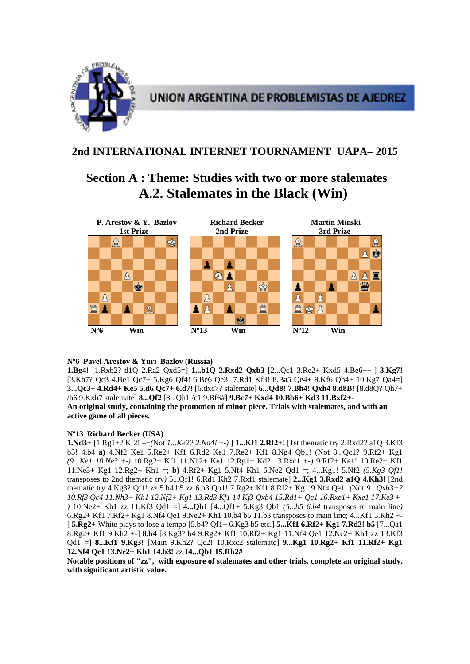

## **2nd INTERNATIONAL INTERNET TOURNAMENT UAPA– 2015**

# **Section A : Theme: Studies with two or more stalemates A.2. Stalemates in the Black (Win)**



## **Nº6 Pavel Arestov & Yuri Bazlov (Russia)**

**1.Bg4!** [1.Rxb2? d1Q 2.Ra2 Qxd5=] **1...b1Q 2.Rxd2 Qxb3** [2...Qc1 3.Re2+ Kxd5 4.Be6++-] **3.Kg7!**  [3.Kh7? Qc3 4.Be1 Qc7+ 5.Kg6 Qf4! 6.Be6 Qe3! 7.Rd1 Kf3! 8.Ba5 Qe4+ 9.Kf6 Qh4+ 10.Kg7 Qa4=] **3...Qc3+ 4.Rd4+ Ke5 5.d6 Qc7+ 6.d7!** [6.dxc7? stalemate] **6...Qd8! 7.Bh4! Qxh4 8.d8B!** [8.d8Q? Qh7+ /h6 9.Kxh7 stalemate] **8...Qf2** [8...Qh1 /c1 9.Bf6#] **9.Bc7+ Kxd4 10.Bb6+ Kd3 11.Bxf2+- An original study, containing the promotion of minor piece. Trials with stalemates, and with an active game of all pieces.** 

## **Nº13 Richard Becker (USA)**

**1.Nd3+** [1.Rg1+? Kf2! –+*(*Not *1...Ke2? 2.Na4!* +-*)* ] **1...Kf1 2.Rf2+!** [1st thematic try 2.Rxd2? a1Q 3.Kf3 b5! 4.b4 **a)** 4.Nf2 Ke1 5.Re2+ Kf1 6.Rd2 Ke1 7.Re2+ Kf1 8.Ng4 Qb1! (Not 8...Qc1? 9.Rf2+ Kg1 *(9...Ke1 10.Ne3* +-*)* 10.Rg2+ Kf1 11.Nh2+ Ke1 12.Rg1+ Kd2 13.Rxc1 +-) 9.Rf2+ Ke1! 10.Re2+ Kf1 11.Ne3+ Kg1 12.Rg2+ Kh1 =; **b)** 4.Rf2+ Kg1 5.Nf4 Kh1 6.Ne2 Qd1 =; 4...Kg1! 5.Nf2 *(5.Kg3 Qf1!*  transposes to 2nd thematic try*)* 5...Qf1! 6.Rd1 Kh2 7.Rxf1 stalemate] **2...Kg1 3.Rxd2 a1Q 4.Kh3!** [2nd thematic try 4.Kg3? Qf1! zz 5.b4 b5 zz 6.b3 Qb1! 7.Rg2+ Kf1 8.Rf2+ Kg1 9.Nf4 Qe1! *(*Not *9...Qxb3+? 10.Rf3 Qc4 11.Nh3+ Kh1 12.Nf2+ Kg1 13.Rd3 Kf1 14.Kf3 Qxb4 15.Rd1+ Qe1 16.Rxe1+ Kxe1 17.Ke3* +- *)* 10.Ne2+ Kh1 zz 11.Kf3 Qd1 =] **4...Qb1** [4...Qf1+ 5.Kg3 Qb1 *(5...b5 6.b4* transposes to main line*)*  6.Rg2+ Kf1 7.Rf2+ Kg1 8.Nf4 Qe1 9.Ne2+ Kh1 10.b4 b5 11.b3 transposes to main line; 4...Kf1 5.Kh2 +- ] **5.Rg2+** White plays to lose a tempo [5.b4? Qf1+ 6.Kg3 b5 etc.] **5...Kf1 6.Rf2+ Kg1 7.Rd2! b5** [7...Qa1 8.Rg2+ Kf1 9.Kh2 +-] **8.b4** [8.Kg3? b4 9.Rg2+ Kf1 10.Rf2+ Kg1 11.Nf4 Qe1 12.Ne2+ Kh1 zz 13.Kf3 Qd1 =] **8...Kf1 9.Kg3!** [Main 9.Kh2? Qc2! 10.Rxc2 stalemate] **9...Kg1 10.Rg2+ Kf1 11.Rf2+ Kg1 12.Nf4 Qe1 13.Ne2+ Kh1 14.b3!** zz **14...Qb1 15.Rh2#** 

**Notable positions of "zz", with exposure of stalemates and other trials, complete an original study, with significant artistic value.**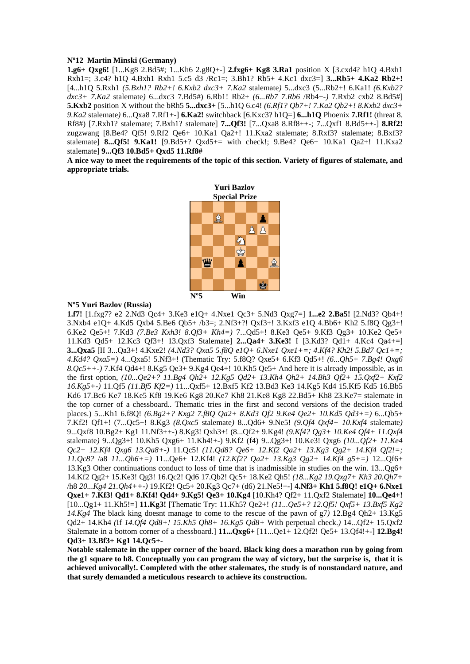### **Nº12 Martin Minski (Germany)**

**1.g6+ Qxg6!** [1...Kg8 2.Bd5#; 1...Kh6 2.g8Q+-] **2.fxg6+ Kg8 3.Ra1** position X [3.cxd4? h1Q 4.Bxh1 Rxh1=; 3.c4? h1Q 4.Bxh1 Rxh1 5.c5 d3 /Rc1=; 3.Bh1? Rb5+ 4.Kc1 dxc3=] **3...Rb5+ 4.Ka2 Rb2+!**  [4...h1Q 5.Rxh1 *(5.Bxh1? Rb2+! 6.Kxb2 dxc3+ 7.Ka2* stalemate*)* 5...dxc3 (5...Rb2+! 6.Ka1! *(6.Kxb2? dxc3+ 7.Ka2* stalemate*)* 6...dxc3 7.Bd5#) 6.Rb1! Rb2+ *(6...Rb7 7.Rb6* /Rb4+-*)* 7.Rxb2 cxb2 8.Bd5#] **5.Kxb2** position X without the bRh5 **5...dxc3+** [5...h1Q 6.c4! *(6.Rf1? Qb7+! 7.Ka2 Qb2+! 8.Kxb2 dxc3+ 9.Ka2* stalemate*)* 6...Qxa8 7.Rf1+-] **6.Ka2!** switchback [6.Kxc3? h1Q=] **6...h1Q** Phoenix **7.Rf1!** (threat 8. Rf8#) [7.Rxh1? stalemate; 7.Bxh1? stalemate] **7...Qf3!** [7...Qxa8 8.Rf8++-; 7...Qxf1 8.Bd5++-] **8.Rf2!**  zugzwang [8.Be4? Qf5! 9.Rf2 Qe6+ 10.Ka1 Qa2+! 11.Kxa2 stalemate; 8.Rxf3? stalemate; 8.Bxf3? stalemate] **8...Qf5! 9.Ka1!** [9.Bd5+? Qxd5+= with check!; 9.Be4? Qe6+ 10.Ka1 Qa2+! 11.Kxa2 stalemate] **9...Qf3 10.Bd5+ Qxd5 11.Rf8#** 

**A nice way to meet the requirements of the topic of this section. Variety of figures of stalemate, and appropriate trials.** 



#### **Nº5 Yuri Bazlov (Russia)**

**1.f7!** [1.fxg7? e2 2.Nd3 Qc4+ 3.Ke3 e1Q+ 4.Nxe1 Qc3+ 5.Nd3 Qxg7=] **1...e2 2.Ba5!** [2.Nd3? Qb4+! 3.Nxb4 e1Q+ 4.Kd5 Qxb4 5.Be6 Qb5+ /b3=; 2.Nf3+?! Qxf3+! 3.Kxf3 e1Q 4.Bb6+ Kh2 5.f8Q Qg3+! 6.Ke2 Qe5+! 7.Kd3 *(7.Be3 Kxh3! 8.Qf3+ Kh4=)* 7...Qd5+! 8.Ke3 Qe5+ 9.Kf3 Qg3+ 10.Ke2 Qe5+ 11.Kd3 Qd5+ 12.Kc3 Qf3+! 13.Qxf3 Stalemate] **2...Qa4+ 3.Ke3!** I [3.Kd3? Qd1+ 4.Kc4 Qa4+=] **3...Qxa5** [II 3...Qa3+! 4.Kxe2! *(4.Nd3? Qxa5 5.f8Q e1Q+ 6.Nxe1 Qxe1+=; 4.Kf4? Kh2! 5.Bd7 Qc1+=; 4.Kd4? Qxa5=)* 4...Qxa5! 5.Nf3+! (Thematic Try: 5.f8Q? Qxe5+ 6.Kf3 Qd5+! *(6...Qh5+ 7.Bg4! Qxg6 8.Qc5++-)* 7.Kf4 Qd4+! 8.Kg5 Qe3+ 9.Kg4 Qe4+! 10.Kh5 Qe5+ And here it is already impossible, as in the first option, *(10...Qe2+? 11.Bg4 Qh2+ 12.Kg5 Qd2+ 13.Kh4 Qh2+ 14.Bh3 Qf2+ 15.Qxf2+ Kxf2 16.Kg5+-)* 11.Qf5 *(11.Bf5 Kf2=)* 11...Qxf5+ 12.Bxf5 Kf2 13.Bd3 Ke3 14.Kg5 Kd4 15.Kf5 Kd5 16.Bb5 Kd6 17.Bc6 Ke7 18.Ke5 Kf8 19.Ke6 Kg8 20.Ke7 Kh8 21.Ke8 Kg8 22.Bd5+ Kh8 23.Ke7= stalemate in the top corner of a chessboard.. Thematic tries in the first and second versions of the decision traded places.) 5...Kh1 6.f8Q! *(6.Bg2+? Kxg2 7.f8Q Qa2+ 8.Kd3 Qf2 9.Ke4 Qe2+ 10.Kd5 Qd3+=)* 6...Qb5+ 7.Kf2! Qf1+! (7...Qc5+! 8.Kg3 *(8.Qxc5* stalemate*)* 8...Qd6+ 9.Ne5! *(9.Qf4 Qxf4+ 10.Kxf4* stalemate*)*  9...Qxf8 10.Bg2+ Kg1 11.Nf3++-) 8.Kg3! Qxh3+! (8...Qf2+ 9.Kg4! *(9.Kf4? Qg3+ 10.Ke4 Qf4+ 11.Qxf4*  stalemate*)* 9...Qg3+! 10.Kh5 Qxg6+ 11.Kh4!+-) 9.Kf2 (f4) 9...Qg3+! 10.Ke3! Qxg6 *(10...Qf2+ 11.Ke4 Qc2+ 12.Kf4 Qxg6 13.Qa8+-)* 11.Qc5! *(11.Qd8? Qe6+ 12.Kf2 Qa2+ 13.Kg3 Qg2+ 14.Kf4 Qf2!=; 11.Qc8?* /a8 *11...Qb6+=)* 11...Qe6+ 12.Kf4! *(12.Kf2? Qa2+ 13.Kg3 Qg2+ 14.Kf4 g5+=)* 12...Qf6+ 13.Kg3 Other continuations conduct to loss of time that is inadmissible in studies on the win. 13...Qg6+ 14.Kf2 Qg2+ 15.Ke3! Qg3! 16.Qc2! Qd6 17.Qb2! Qc5+ 18.Ke2 Qh5! *(18...Kg2 19.Qxg7+ Kh3 20.Qh7+*  /h8 *20...Kg4 21.Qh4++-)* 19.Kf2! Qc5+ 20.Kg3 Qc7+ (d6) 21.Ne5!+-] **4.Nf3+ Kh1 5.f8Q! e1Q+ 6.Nxe1 Qxe1+ 7.Kf3! Qd1+ 8.Kf4! Qd4+ 9.Kg5! Qe3+ 10.Kg4** [10.Kh4? Qf2+ 11.Qxf2 Stalemate] **10...Qe4+!**  [10...Qg1+ 11.Kh5!=] **11.Kg3!** [Thematic Try: 11.Kh5? Qe2+! *(11...Qe5+? 12.Qf5! Qxf5+ 13.Bxf5 Kg2 14.Kg4* The black king doesnt manage to come to the rescue of the pawn of g7*)* 12.Bg4 Qh2+ 13.Kg5 Qd2+ 14.Kh4 *(*If *14.Qf4 Qd8+! 15.Kh5 Qh8+ 16.Kg5 Qd8+* With perpetual check.*)* 14...Qf2+ 15.Qxf2 Stalemate in a bottom corner of a chessboard.] **11...Qxg6+** [11...Qe1+ 12.Qf2! Qe5+ 13.Qf4!+-] **12.Bg4! Qd3+ 13.Bf3+ Kg1 14.Qc5+-** 

**Notable stalemate in the upper corner of the board. Black king does a marathon run by going from the g1 square to h8. Conceptually you can program the way of victory, but the surprise is, that it is achieved univocally!. Completed with the other stalemates, the study is of nonstandard nature, and that surely demanded a meticulous research to achieve its construction.**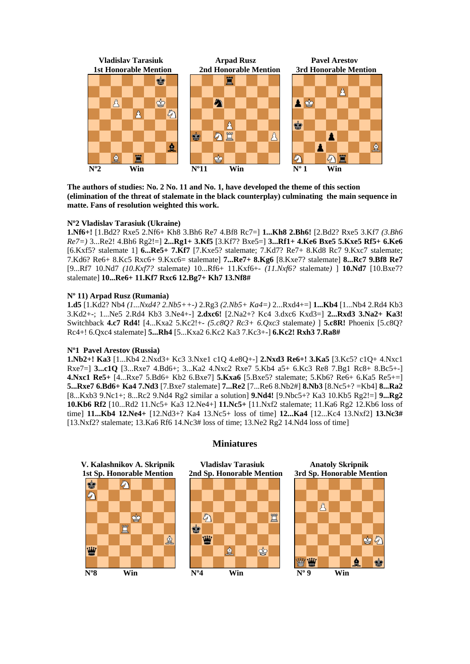

**The authors of studies: No. 2 No. 11 and No. 1, have developed the theme of this section (elimination of the threat of stalemate in the black counterplay) culminating the main sequence in matte. Fans of resolution weighted this work.** 

## **Nº2 Vladislav Tarasiuk (Ukraine)**

**1.Nf6+!** [1.Bd2? Rxe5 2.Nf6+ Kh8 3.Bh6 Re7 4.Bf8 Rc7=] **1...Kh8 2.Bh6!** [2.Bd2? Rxe5 3.Kf7 *(3.Bh6 Re7=)* 3...Re2! 4.Bh6 Rg2!=] **2...Rg1+ 3.Kf5** [3.Kf7? Bxe5=] **3...Rf1+ 4.Ke6 Bxe5 5.Kxe5 Rf5+ 6.Ke6**  [6.Kxf5? stalemate 1] **6...Re5+ 7.Kf7** [7.Kxe5? stalemate; 7.Kd7? Re7+ 8.Kd8 Rc7 9.Kxc7 stalemate; 7.Kd6? Re6+ 8.Kc5 Rxc6+ 9.Kxc6= stalemate] **7...Re7+ 8.Kg6** [8.Kxe7? stalemate] **8...Rc7 9.Bf8 Re7**  [9...Rf7 10.Nd7 *(10.Kxf7?* stalemate*)* 10...Rf6+ 11.Kxf6+- *(11.Nxf6?* stalemate*)* ] **10.Nd7** [10.Bxe7? stalemate] **10...Re6+ 11.Kf7 Rxc6 12.Bg7+ Kh7 13.Nf8#** 

#### **Nº 11) Arpad Rusz (Rumania)**

**1.d5** [1.Kd2? Nb4 *(1...Nxd4? 2.Nb5++-)* 2.Rg3 *(2.Nb5+ Ka4=)* 2...Rxd4+=] **1...Kb4** [1...Nb4 2.Rd4 Kb3 3.Kd2+-; 1...Ne5 2.Rd4 Kb3 3.Ne4+-] **2.dxc6!** [2.Na2+? Kc4 3.dxc6 Kxd3=] **2...Rxd3 3.Na2+ Ka3!**  Switchback **4.c7 Rd4!** [4...Kxa2 5.Kc2!+- *(5.c8Q? Rc3+ 6.Qxc3* stalemate*)* ] **5.c8R!** Phoenix [5.c8Q? Rc4+! 6.Qxc4 stalemate] **5...Rh4** [5...Kxa2 6.Kc2 Ka3 7.Kc3+-] **6.Kc2! Rxh3 7.Ra8#** 

### **Nº1 Pavel Arestov (Russia)**

**1.Nb2+! Ka3** [1...Kb4 2.Nxd3+ Kc3 3.Nxe1 c1Q 4.e8Q+-] **2.Nxd3 Re6+! 3.Ka5** [3.Kc5? c1Q+ 4.Nxc1 Rxe7=] **3...c1Q** [3...Rxe7 4.Bd6+; 3...Ka2 4.Nxc2 Rxe7 5.Kb4 a5+ 6.Kc3 Re8 7.Bg1 Rc8+ 8.Bc5+-] **4.Nxc1 Re5+** [4...Rxe7 5.Bd6+ Kb2 6.Bxe7] **5.Kxa6** [5.Bxe5? stalemate; 5.Kb6? Re6+ 6.Ka5 Re5+=] **5...Rxe7 6.Bd6+ Ka4 7.Nd3** [7.Bxe7 stalemate] **7...Re2** [7...Re6 8.Nb2#] **8.Nb3** [8.Nc5+? =Kb4] **8...Ra2**  [8...Kxb3 9.Nc1+; 8...Rc2 9.Nd4 Rg2 similar a solution] **9.Nd4!** [9.Nbc5+? Ka3 10.Kb5 Rg2!=] **9...Rg2 10.Kb6 Rf2** [10...Rd2 11.Nc5+ Ka3 12.Ne4+] **11.Nc5+** [11.Nxf2 stalemate; 11.Ka6 Rg2 12.Kb6 loss of time] **11...Kb4 12.Ne4+** [12.Nd3+? Ka4 13.Nc5+ loss of time] **12...Ka4** [12...Kc4 13.Nxf2] **13.Nc3#**   $[13. Nxf2$ ? stalemate;  $13. Ka6 Rf6 14. Nc3#$  loss of time;  $13. Ne2 Rg2 14. Nd4$  loss of time



## **Miniatures**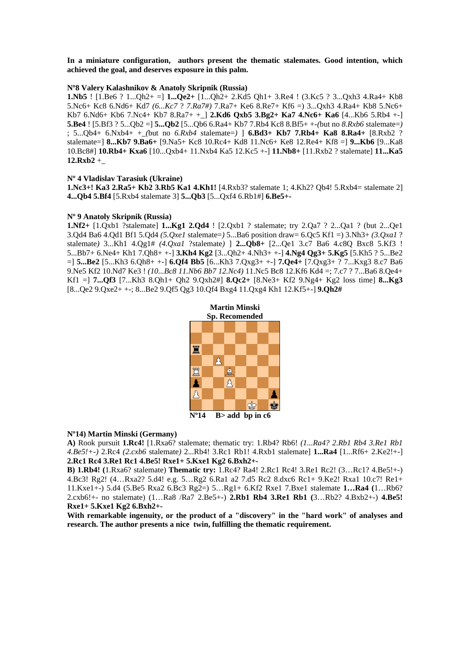**In a miniature configuration, authors present the thematic stalemates. Good intention, which achieved the goal, and deserves exposure in this palm.** 

#### **Nº8 Valery Kalashnikov & Anatoly Skripnik (Russia)**

**1.Nb5** ! [1.Be6 ? 1...Qh2+ =] **1...Qe2+** [1...Qh2+ 2.Kd5 Qh1+ 3.Re4 ! (3.Kc5 ? 3...Qxh3 4.Ra4+ Kb8 5.Nc6+ Kc8 6.Nd6+ Kd7 *(6...Kc7* ? *7.Ra7#)* 7.Ra7+ Ke6 8.Re7+ Kf6 =) 3...Qxh3 4.Ra4+ Kb8 5.Nc6+ Kb7 6.Nd6+ Kb6 7.Nc4+ Kb7 8.Ra7+ +\_] **2.Kd6 Qxb5 3.Bg2+ Ka7 4.Nc6+ Ka6** [4...Kb6 5.Rb4 +-] **5.Be4** ! [5.Bf3 ? 5...Qb2 =] **5...Qb2** [5...Qb6 6.Ra4+ Kb7 7.Rb4 Kc8 8.Bf5+ +-*(*but no *8.Rxb6* stalemate=*)*  ; 5...Qb4+ 6.Nxb4+ +\_*(*but no *6.Rxb4* stalemate=*)* ] **6.Bd3+ Kb7 7.Rb4+ Ka8 8.Ra4+** [8.Rxb2 ? stalemate=] **8...Kb7 9.Ba6+** [9.Na5+ Kc8 10.Rc4+ Kd8 11.Nc6+ Ke8 12.Re4+ Kf8 =] **9...Kb6** [9...Ka8 10.Bc8#] **10.Rb4+ Kxa6** [10...Qxb4+ 11.Nxb4 Ka5 12.Kc5 +-] **11.Nb8+** [11.Rxb2 ? stalemate] **11...Ka5 12.Rxb2** +\_

### **Nº 4 Vladislav Tarasiuk (Ukraine)**

**1.Nc3+! Ka3 2.Ra5+ Kb2 3.Rb5 Ka1 4.Kh1!** [4.Rxb3? stalemate 1; 4.Kh2? Qb4! 5.Rxb4= stalemate 2] **4...Qb4 5.Bf4** [5.Rxb4 stalemate 3] **5...Qb3** [5...Qxf4 6.Rb1#] **6.Be5+-** 

#### **Nº 9 Anatoly Skripnik (Russia)**

**1.Nf2+** [1.Qxb1 ?stalemate] **1...Kg1 2.Qd4** ! [2.Qxb1 ? stalemate; try 2.Qa7 ? 2...Qa1 ? (but 2...Qe1 3.Qd4 Ba6 4.Qd1 Bf1 5.Qd4 *(5.Qxe1* stalemate=*)* 5...Ba6 position draw= 6.Qc5 Kf1 =) 3.Nh3+ *(3.Qxa1* ? stalemate*)* 3...Kh1 4.Qg1# *(4.Qxa1* ?stalemate*)* ] **2...Qb8+** [2...Qe1 3.c7 Ba6 4.c8Q Bxc8 5.Kf3 ! 5...Bb7+ 6.Ne4+ Kh1 7.Qh8+ +-] **3.Kh4 Kg2** [3...Qh2+ 4.Nh3+ +-] **4.Ng4 Qg3+ 5.Kg5** [5.Kh5 ? 5...Be2 =] **5...Be2** [5...Kh3 6.Qh8+ +-] **6.Qf4 Bb5** [6...Kh3 7.Qxg3+ +-] **7.Qe4+** [7.Qxg3+ ? 7...Kxg3 8.c7 Ba6 9.Ne5 Kf2 10.Nd7 Ke3 ! *(10...Bc8 11.Nb6 Bb7 12.Nc4)* 11.Nc5 Bc8 12.Kf6 Kd4 =; 7.c7 ? 7...Ba6 8.Qe4+ Kf1 =] **7...Qf3** [7...Kh3 8.Qh1+ Qh2 9.Qxh2#] **8.Qc2+** [8.Ne3+ Kf2 9.Ng4+ Kg2 loss time] **8...Kg3**  [8...Qe2 9.Qxe2+ +-; 8...Be2 9.Qf5 Qg3 10.Qf4 Bxg4 11.Qxg4 Kh1 12.Kf5+-] **9.Qh2#** 



#### **Nº14) Martin Minski (Germany)**

**A)** Rook pursuit **1.Rc4!** [1.Rxa6? stalemate; thematic try: 1.Rb4? Rb6! *(1...Ra4? 2.Rb1 Rb4 3.Re1 Rb1 4.Be5!+-)* 2.Rc4 *(2.cxb6* stalemate*)* 2...Rb4! 3.Rc1 Rb1! 4.Rxb1 stalemate] **1...Ra4** [1...Rf6+ 2.Ke2!+-] **2.Rc1 Rc4 3.Re1 Rc1 4.Be5! Rxe1+ 5.Kxe1 Kg2 6.Bxh2+-** 

**B) 1.Rb4! (**1.Rxa6? stalemate) **Thematic try:** 1.Rc4? Ra4! 2.Rc1 Rc4! 3.Re1 Rc2! (3…Rc1? 4.Be5!+-) 4.Bc3! Rg2! (4…Rxa2? 5.d4! e.g. 5…Rg2 6.Ra1 a2 7.d5 Rc2 8.dxc6 Rc1+ 9.Ke2! Rxa1 10.c7! Re1+ 11.Kxe1+-) 5.d4 (5.Be5 Rxa2 6.Bc3 Rg2=) 5…Rg1+ 6.Kf2 Rxe1 7.Bxe1 stalemate **1…Ra4 (**1…Rb6? 2.cxb6!+- no stalemate) (1…Ra8 /Ra7 2.Be5+-) **2.Rb1 Rb4 3.Re1 Rb1 (**3…Rb2? 4.Bxb2+-) **4.Be5! Rxe1+ 5.Kxe1 Kg2 6.Bxh2+-** 

**With remarkable ingenuity, or the product of a "discovery" in the "hard work" of analyses and research. The author presents a nice twin, fulfilling the thematic requirement.**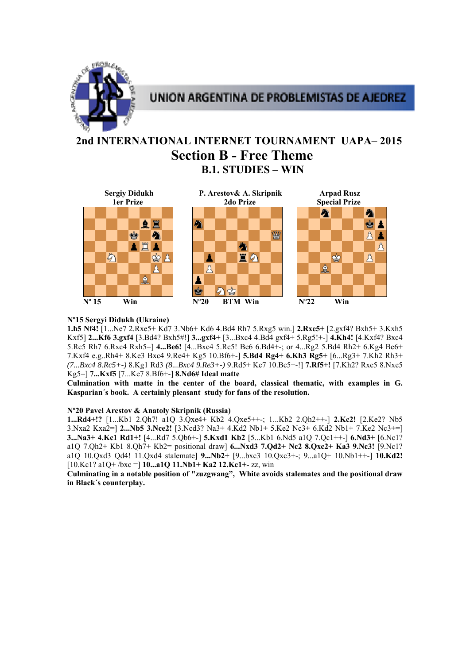

## **2nd INTERNATIONAL INTERNET TOURNAMENT UAPA– 2015 Section B - Free Theme B.1. STUDIES – WIN**



## **Nº15 Sergyi Didukh (Ukraine)**

**1.h5 Nf4!** [1...Ne7 2.Rxe5+ Kd7 3.Nb6+ Kd6 4.Bd4 Rh7 5.Rxg5 win.] **2.Rxe5+** [2.gxf4? Bxh5+ 3.Kxh5 Kxf5] **2...Kf6 3.gxf4** [3.Bd4? Bxh5#!] **3...gxf4+** [3...Bxc4 4.Bd4 gxf4+ 5.Rg5!+-] **4.Kh4!** [4.Kxf4? Bxc4 5.Rc5 Rh7 6.Rxc4 Rxh5=] **4...Be6!** [4...Bxc4 5.Rc5! Be6 6.Bd4+-; or 4...Rg2 5.Bd4 Rh2+ 6.Kg4 Be6+ 7.Kxf4 e.g..Rh4+ 8.Ke3 Bxc4 9.Re4+ Kg5 10.Bf6+-] **5.Bd4 Rg4+ 6.Kh3 Rg5+** [6...Rg3+ 7.Kh2 Rh3+ *(7...Bxc4 8.Rc5+-)* 8.Kg1 Rd3 *(8...Bxc4 9.Re3+-)* 9.Rd5+ Ke7 10.Bc5+-!] **7.Rf5+!** [7.Kh2? Rxe5 8.Nxe5 Kg5=] **7...Kxf5** [7...Ke7 8.Bf6+-] **8.Nd6# Ideal matte**

**Culmination with matte in the center of the board, classical thematic, with examples in G. Kasparian´s book. A certainly pleasant study for fans of the resolution.** 

## **Nº20 Pavel Arestov & Anatoly Skripnik (Russia)**

**1...Rd4+!?** [1...Kb1 2.Qh7! a1Q 3.Qxe4+ Kb2 4.Qxe5++-; 1...Kb2 2.Qh2++-] **2.Kc2!** [2.Ke2? Nb5 3.Nxa2 Kxa2=] **2...Nb5 3.Nce2!** [3.Ncd3? Na3+ 4.Kd2 Nb1+ 5.Ke2 Nc3+ 6.Kd2 Nb1+ 7.Ke2 Nc3+=] **3...Na3+ 4.Kc1 Rd1+!** [4...Rd7 5.Qb6+-] **5.Kxd1 Kb2** [5...Kb1 6.Nd5 a1Q 7.Qc1++-] **6.Nd3+** [6.Nc1? a1Q 7.Qh2+ Kb1 8.Qh7+ Kb2= positional draw] **6...Nxd3 7.Qd2+ Nc2 8.Qxc2+ Ka3 9.Nc3!** [9.Nc1? a1Q 10.Qxd3 Qd4! 11.Qxd4 stalemate] **9...Nb2+** [9...bxc3 10.Qxc3+-; 9...a1Q+ 10.Nb1++-] **10.Kd2!**  [10.Kc1? a1Q+ /bxc =] **10...a1Q 11.Nb1+ Ka2 12.Kc1+-** zz, win

**Culminating in a notable position of "zuzgwang", White avoids stalemates and the positional draw in Black´s counterplay.**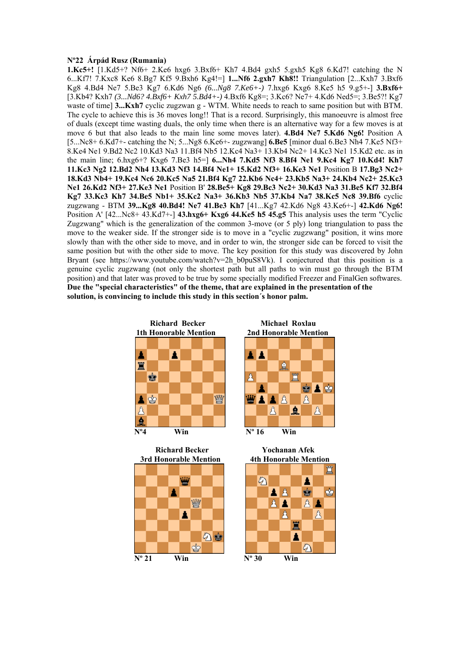### **Nº22 Árpád Rusz (Rumania)**

**1.Kc5+!** [1.Kd5+? Nf6+ 2.Ke6 hxg6 3.Bxf6+ Kh7 4.Bd4 gxh5 5.gxh5 Kg8 6.Kd7! catching the N 6...Kf7! 7.Kxc8 Ke6 8.Bg7 Kf5 9.Bxh6 Kg4!=] **1...Nf6 2.gxh7 Kh8!!** Triangulation [2...Kxh7 3.Bxf6 Kg8 4.Bd4 Ne7 5.Be3 Kg7 6.Kd6 Ng6 *(6...Ng8 7.Ke6+-)* 7.hxg6 Kxg6 8.Ke5 h5 9.g5+-] **3.Bxf6+**  [3.Kb4? Kxh7 *(3...Nd6? 4.Bxf6+ Kxh7 5.Bd4+-)* 4.Bxf6 Kg8=; 3.Kc6? Ne7+ 4.Kd6 Ned5=; 3.Be5?! Kg7 waste of time] **3...Kxh7** cyclic zugzwan g - WTM. White needs to reach to same position but with BTM. The cycle to achieve this is 36 moves long!! That is a record. Surprisingly, this manoeuvre is almost free of duals (except time wasting duals, the only time when there is an alternative way for a few moves is at move 6 but that also leads to the main line some moves later). **4.Bd4 Ne7 5.Kd6 Ng6!** Position A [5...Nc8+ 6.Kd7+- catching the N; 5...Ng8 6.Ke6+- zugzwang] **6.Be5** [minor dual 6.Be3 Nh4 7.Ke5 Nf3+ 8.Ke4 Ne1 9.Bd2 Nc2 10.Kd3 Na3 11.Bf4 Nb5 12.Kc4 Na3+ 13.Kb4 Nc2+ 14.Kc3 Ne1 15.Kd2 etc. as in the main line; 6.hxg6+? Kxg6 7.Be3 h5=] **6...Nh4 7.Kd5 Nf3 8.Bf4 Ne1 9.Kc4 Kg7 10.Kd4! Kh7 11.Kc3 Ng2 12.Bd2 Nh4 13.Kd3 Nf3 14.Bf4 Ne1+ 15.Kd2 Nf3+ 16.Ke3 Ne1** Position B **17.Bg3 Nc2+ 18.Kd3 Nb4+ 19.Kc4 Nc6 20.Kc5 Na5 21.Bf4 Kg7 22.Kb6 Nc4+ 23.Kb5 Na3+ 24.Kb4 Nc2+ 25.Kc3 Ne1 26.Kd2 Nf3+ 27.Ke3 Ne1** Position B' **28.Be5+ Kg8 29.Bc3 Nc2+ 30.Kd3 Na3 31.Be5 Kf7 32.Bf4 Kg7 33.Kc3 Kh7 34.Be5 Nb1+ 35.Kc2 Na3+ 36.Kb3 Nb5 37.Kb4 Na7 38.Kc5 Nc8 39.Bf6** cyclic zugzwang - BTM **39...Kg8 40.Bd4! Ne7 41.Be3 Kh7** [41...Kg7 42.Kd6 Ng8 43.Ke6+-] **42.Kd6 Ng6!**  Position A' [42...Nc8+ 43.Kd7+-] **43.hxg6+ Kxg6 44.Ke5 h5 45.g5** This analysis uses the term "Cyclic Zugzwang" which is the generalization of the common 3-move (or 5 ply) long triangulation to pass the move to the weaker side. If the stronger side is to move in a "cyclic zugzwang" position, it wins more slowly than with the other side to move, and in order to win, the stronger side can be forced to visit the same position but with the other side to move. The key position for this study was discovered by John Bryant (see https://www.youtube.com/watch?v=2h\_b0puS8Vk). I conjectured that this position is a genuine cyclic zugzwang (not only the shortest path but all paths to win must go through the BTM position) and that later was proved to be true by some specially modified Freezer and FinalGen softwares. **Due the "special characteristics" of the theme, that are explained in the presentation of the solution, is convincing to include this study in this section´s honor palm.** 









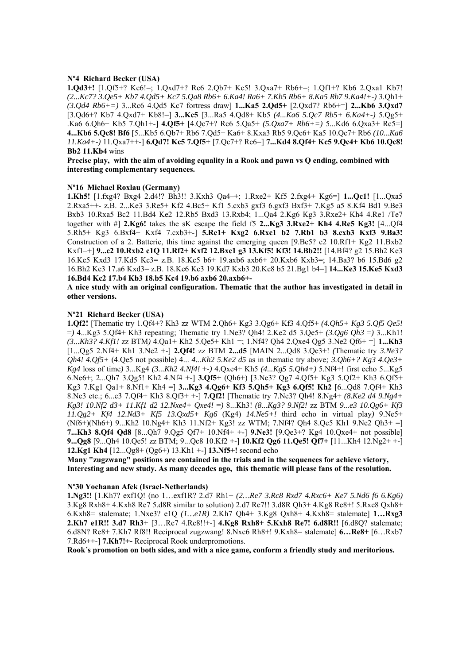#### **Nº4 Richard Becker (USA)**

**1.Qd3+!** [1.Qf5+? Kc6!=; 1.Qxd7+? Rc6 2.Qb7+ Kc5! 3.Qxa7+ Rb6+=; 1.Qf1+? Kb6 2.Qxa1 Kb7! *(2...Kc7? 3.Qe5+ Kb7 4.Qd5+ Kc7 5.Qa8 Rb6+ 6.Ka4! Ra6+ 7.Kb5 Rb6+ 8.Ka5 Rb7 9.Ka4!+-)* 3.Qh1+ *(3.Qd4 Rb6+=)* 3...Rc6 4.Qd5 Kc7 fortress draw] **1...Ka5 2.Qd5+** [2.Qxd7? Rb6+=] **2...Kb6 3.Qxd7**  [3.Qd6+? Kb7 4.Qxd7+ Kb8!=] **3...Kc5** [3...Ra5 4.Qd8+ Kb5 *(4...Ka6 5.Qc7 Rb5+ 6.Ka4+-)* 5.Qg5+ .Ka6 6.Qh6+ Kb5 7.Qh1+-] **4.Qf5+** [4.Qc7+? Rc6 5.Qa5+ *(5.Qxa7+ Rb6+=)* 5...Kd6 6.Qxa3+ Rc5=] **4...Kb6 5.Qc8! Bf6** [5...Kb5 6.Qb7+ Rb6 7.Qd5+ Ka6+ 8.Kxa3 Rb5 9.Qc6+ Ka5 10.Qc7+ Rb6 *(10...Ka6 11.Ka4+-)* 11.Qxa7++-] **6.Qd7! Kc5 7.Qf5+** [7.Qc7+? Rc6=] **7...Kd4 8.Qf4+ Kc5 9.Qc4+ Kb6 10.Qc8! Bb2 11.Kb4** wins

**Precise play, with the aim of avoiding equality in a Rook and pawn vs Q ending, combined with interesting complementary sequences.** 

#### **Nº16 Michael Roxlau (Germany)**

**1.Kh5!** [1.fxg4? Bxg4 2.d4!? Bh3!! 3.Kxh3 Qa4–+; 1.Rxe2+ Kf5 2.fxg4+ Kg6=] **1...Qc1!** [1...Qxa5 2.Rxa5++- z.B. 2...Ke3 3.Re5+ Kf2 4.Bc5+ Kf1 5.cxb3 gxf3 6.gxf3 Bxf3+ 7.Kg5 a5 8.Kf4 Bd1 9.Be3 Bxb3 10.Rxa5 Bc2 11.Bd4 Ke2 12.Rb5 Bxd3 13.Rxb4; 1...Qa4 2.Kg6 Kg3 3.Rxe2+ Kh4 4.Re1 /Te7 together with #] **2.Kg6!** takes the sK escape the field f5 **2...Kg3 3.Rxe2+ Kh4 4.Re5 Kg3!** [4...Qf4 5.Rh5+ Kg3 6.Bxf4+ Kxf4 7.cxb3+-] **5.Re1+ Kxg2 6.Rxc1 b2 7.Rb1 b3 8.cxb3 Kxf3 9.Ba3!**  Construction of a 2. Batterie, this time against the emerging queen [9.Be5? c2 10.Rf1+ Kg2 11.Bxb2 Kxf1–+] **9...c2 10.Rxb2 c1Q 11.Rf2+ Kxf2 12.Bxc1 g3 13.Kf5! Kf3! 14.Bb2!!** [14.Bf4? g2 15.Bh2 Ke3 16.Ke5 Kxd3 17.Kd5 Kc3= z.B. 18.Kc5 b6+ 19.axb6 axb6+ 20.Kxb6 Kxb3=; 14.Ba3? b6 15.Bd6 g2 16.Bh2 Ke3 17.a6 Kxd3= z.B. 18.Ke6 Kc3 19.Kd7 Kxb3 20.Kc8 b5 21.Bg1 b4=] **14...Ke3 15.Ke5 Kxd3 16.Bd4 Kc2 17.b4 Kb3 18.b5 Kc4 19.b6 axb6 20.axb6+-** 

#### **A nice study with an original configuration. Thematic that the author has investigated in detail in other versions.**

### **Nº21 Richard Becker (USA)**

**1.Qf2!** [Thematic try 1.Qf4+? Kh3 zz WTM 2.Qh6+ Kg3 3.Qg6+ Kf3 4.Qf5+ *(4.Qh5+ Kg3 5.Qf5 Qe5!*  =*)* 4...Kg3 5.Qf4+ Kh3 repeating; Thematic try 1.Ne3? Qh4! 2.Ke2 d5 3.Qe5+ *(3.Qg6 Qh3* =*)* 3...Kh1! *(3...Kh3? 4.Kf1!* zz BTM*)* 4.Qa1+ Kh2 5.Qe5+ Kh1 =; 1.Nf4? Qh4 2.Qxe4 Qg5 3.Ne2 Qf6+ =] **1...Kh3**  [1...Qg5 2.Nf4+ Kh1 3.Ne2 +-] **2.Qf4!** zz BTM **2...d5** [MAIN 2...Qd8 3.Qe3+! *(*Thematic try *3.Ne3? Qh4! 4.Qf5+* (4.Qe5 not possible) 4... *4...Kh2 5.Ke2 d5* as in thematic try above*; 3.Qh6+? Kg3 4.Qe3+ Kg4* loss of time*)* 3...Kg4 *(3...Kh2 4.Nf4!* +-*)* 4.Qxe4+ Kh5 *(4...Kg5 5.Qh4+)* 5.Nf4+! first echo 5...Kg5 6.Ne6+; 2...Qh7 3.Qg5! Kh2 4.Nf4 +-] **3.Qf5+** (Qh6+) [3.Ne3? Qg7 4.Qf5+ Kg3 5.Qf2+ Kh3 6.Qf5+ Kg3 7.Kg1 Qa1+ 8.Nf1+ Kh4 =] **3...Kg3 4.Qg6+ Kf3 5.Qh5+ Kg3 6.Qf5! Kh2** [6...Qd8 7.Qf4+ Kh3 8.Ne3 etc.; 6...e3 7.Qf4+ Kh3 8.Qf3+ +-] **7.Qf2!** [Thematic try 7.Ne3? Qh4! 8.Ng4+ *(8.Ke2 d4 9.Ng4+ Kg3! 10.Nf2 d3+ 11.Kf1 d2 12.Nxe4+ Qxe4!* =*)* 8...Kh3! *(8...Kg3? 9.Nf2!* zz BTM *9...e3 10.Qg6+ Kf3 11.Qg2+ Kf4 12.Nd3+ Kf5 13.Qxd5+ Kg6* (Kg4) *14.Ne5+!* third echo in virtual play*)* 9.Ne5+ (Nf6+)(Nh6+) 9...Kh2 10.Ng4+ Kh3 11.Nf2+ Kg3! zz WTM; 7.Nf4? Qh4 8.Qe5 Kh1 9.Ne2 Qh3+ =] **7...Kh3 8.Qf4 Qd8** [8...Qh7 9.Qg5 Qf7+ 10.Nf4+ +-] **9.Ne3!** [9.Qe3+? Kg4 10.Qxe4+ not possible] **9...Qg8** [9...Qh4 10.Qe5! zz BTM; 9...Qc8 10.Kf2 +-] **10.Kf2 Qg6 11.Qe5! Qf7+** [11...Kh4 12.Ng2+ +-] **12.Kg1 Kh4** [12...Qg8+ (Qg6+) 13.Kh1 +-] **13.Nf5+!** second echo

**Many "zugzwang" positions are contained in the trials and in the sequences for achieve victory, Interesting and new study. As many decades ago, this thematic will please fans of the resolution.** 

#### **Nº30 Yochanan Afek (Israel-Netherlands)**

**1.Ng3!!** [1.Kh7? exf1Q! (no 1…exf1R? 2.d7 Rh1+ *(2…Re7 3.Rc8 Rxd7 4.Rxc6+ Ke7 5.Nd6 f6 6.Kg6)*  3.Kg8 Rxh8+ 4.Kxh8 Re7 5.d8R similar to solution) 2.d7 Re7!! 3.d8R Qh3+ 4.Kg8 Re8+! 5.Rxe8 Qxh8+ 6.Kxh8= stalemate; 1.Nxe3? e1Q *(1…e1R)* 2.Kh7 Qh4+ 3.Kg8 Qxh8+ 4.Kxh8= stalemate] **1…Rxg3 2.Kh7 e1R!! 3.d7 Rh3+** [3…Re7 4.Rc8!!+-] **4.Kg8 Rxh8+ 5.Kxh8 Re7! 6.d8R!!** [6.d8Q? stalemate; 6.d8N? Re8+ 7.Kh7 Rf8!! Reciprocal zugzwang! 8.Nxc6 Rh8+! 9.Kxh8= stalemate] **6…Re8+** [6…Rxb7 7.Rd6++-] **7.Kh7!+-** Reciprocal Rook underpromotions.

**Rook´s promotion on both sides, and with a nice game, conform a friendly study and meritorious.**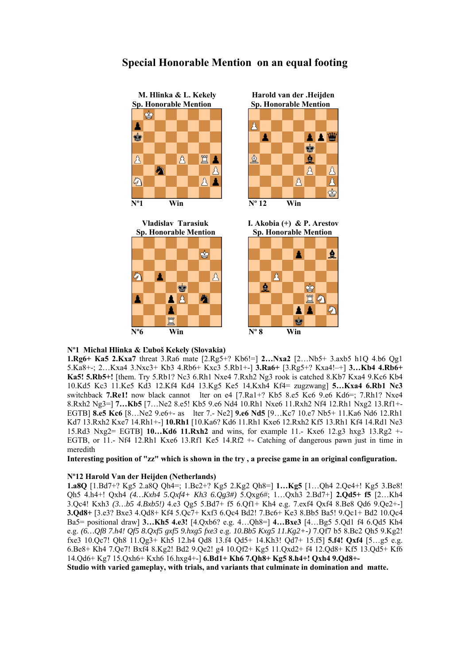

## **Special Honorable Mention on an equal footing**







## **Nº1 Michal Hlinka & Ľuboš Kekely (Slovakia)**

**1.Rg6+ Ka5 2.Kxa7** threat 3.Ra6 mate [2.Rg5+? Kb6!=] **2…Nxa2** [2…Nb5+ 3.axb5 h1Q 4.b6 Qg1 5.Ka8+-; 2…Kxa4 3.Nxc3+ Kb3 4.Rb6+ Kxc3 5.Rb1+-] **3.Ra6+** [3.Rg5+? Kxa4!–+] **3…Kb4 4.Rb6+ Ka5! 5.Rb5+!** [them. Try 5.Rb1? Nc3 6.Rh1 Nxe4 7.Rxh2 Ng3 rook is catched 8.Kb7 Kxa4 9.Kc6 Kb4 10.Kd5 Kc3 11.Ke5 Kd3 12.Kf4 Kd4 13.Kg5 Ke5 14.Kxh4 Kf4= zugzwang] **5…Kxa4 6.Rb1 Nc3**  switchback **7.Re1!** now black cannot lter on e4 [7.Ra1+? Kb5 8.e5 Kc6 9.e6 Kd6=; 7.Rh1? Nxe4 8.Rxh2 Ng3=] **7…Kb5** [7…Ne2 8.e5! Kb5 9.e6 Nd4 10.Rh1 Nxe6 11.Rxh2 Nf4 12.Rh1 Nxg2 13.Rf1+- EGTB] **8.e5 Kc6** [8…Ne2 9.e6+- as lter 7.- Ne2] **9.e6 Nd5** [9…Kc7 10.e7 Nb5+ 11.Ka6 Nd6 12.Rh1 Kd7 13.Rxh2 Kxe7 14.Rh1+-] **10.Rh1** [10.Ka6? Kd6 11.Rh1 Kxe6 12.Rxh2 Kf5 13.Rh1 Kf4 14.Rd1 Ne3 15.Rd3 Nxg2= EGTB] **10…Kd6 11.Rxh2** and wins, for example 11.- Kxe6 12.g3 hxg3 13.Rg2 +- EGTB, or 11.- Nf4 12.Rh1 Kxe6 13.Rf1 Ke5 14.Rf2 +- Catching of dangerous pawn just in time in meredith

**Interesting position of "zz" which is shown in the try , a precise game in an original configuration.** 

## **Nº12 Harold Van der Heijden (Netherlands)**

**1.a8Q** [1.Bd7+? Kg5 2.a8Q Qh4=; 1.Bc2+? Kg5 2.Kg2 Qh8=] **1…Kg5** [1…Qh4 2.Qe4+! Kg5 3.Be8! Qh5 4.h4+! Qxh4 *(4…Kxh4 5.Qxf4+ Kh3 6.Qg3#)* 5.Qxg6#; 1…Qxh3 2.Bd7+] **2.Qd5+ f5** [2…Kh4 3.Qc4! Kxh3 *(3…b5 4.Bxb5!)* 4.e3 Qg5 5.Bd7+ f5 6.Qf1+ Kh4 e.g. 7.exf4 Qxf4 8.Be8 Qd6 9.Qe2+-] **3.Qd8+** [3.e3? Bxe3 4.Qd8+ Kf4 5.Qc7+ Kxf3 6.Qc4 Bd2! 7.Bc6+ Ke3 8.Bb5 Ba5! 9.Qc1+ Bd2 10.Qc4 Ba5= positional draw] **3…Kh5 4.e3!** [4.Qxb6? e.g. 4…Qh8=] **4…Bxe3** [4…Bg5 5.Qd1 f4 6.Qd5 Kh4 e.g. *(6…Qf8 7.h4! Qf5 8.Qxf5 gxf5 9.hxg5 fxe3* e.g. *10.Bb5 Kxg5 11.Kg2+-)* 7.Qf7 b5 8.Bc2 Qh5 9.Kg2! fxe3 10.Qc7! Qh8 11.Qg3+ Kh5 12.h4 Qd8 13.f4 Qd5+ 14.Kh3! Qd7+ 15.f5] **5.f4! Qxf4** [5…g5 e.g. 6.Be8+ Kh4 7.Qe7! Bxf4 8.Kg2! Bd2 9.Qe2! g4 10.Qf2+ Kg5 11.Qxd2+ f4 12.Qd8+ Kf5 13.Qd5+ Kf6 14.Qd6+ Kg7 15.Qxh6+ Kxh6 16.hxg4+-] **6.Bd1+ Kh6 7.Qh8+ Kg5 8.h4+! Qxh4 9.Qd8+-** 

**Studio with varied gameplay, with trials, and variants that culminate in domination and matte.**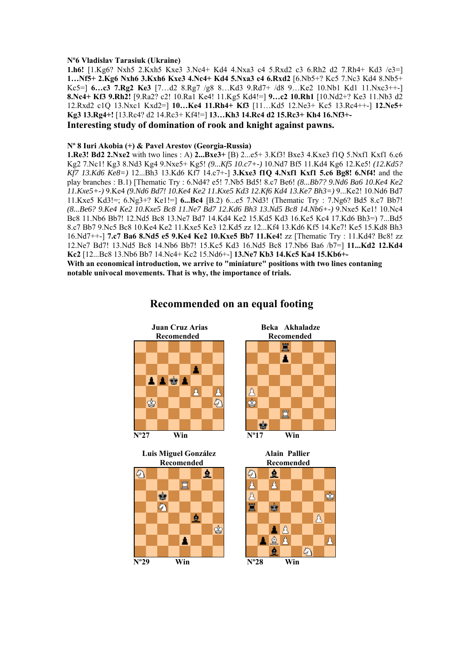### **Nº6 Vladislav Tarasiuk (Ukraine)**

**1.h6!** [1.Kg6? Nxh5 2.Kxh5 Kxe3 3.Nc4+ Kd4 4.Nxa3 c4 5.Rxd2 c3 6.Rh2 d2 7.Rh4+ Kd3 /e3=] **1…Nf5+ 2.Kg6 Nxh6 3.Kxh6 Kxe3 4.Nc4+ Kd4 5.Nxa3 c4 6.Rxd2** [6.Nb5+? Kc5 7.Nc3 Kd4 8.Nb5+ Kc5=] **6…c3 7.Rg2 Ke3** [7…d2 8.Rg7 /g8 8…Kd3 9.Rd7+ /d8 9…Ke2 10.Nb1 Kd1 11.Nxc3++-] **8.Nc4+ Kf3 9.Rh2!** [9.Ra2? c2! 10.Ra1 Ke4! 11.Kg5 Kd4!=] **9…c2 10.Rh1** [10.Nd2+? Ke3 11.Nb3 d2 12.Rxd2 c1Q 13.Nxc1 Kxd2=] **10…Ke4 11.Rh4+ Kf3** [11…Kd5 12.Ne3+ Kc5 13.Rc4++-] **12.Ne5+ Kg3 13.Rg4+!** [13.Rc4? d2 14.Rc3+ Kf4!=] **13…Kh3 14.Rc4 d2 15.Rc3+ Kh4 16.Nf3+- Interesting study of domination of rook and knight against pawns.** 

### **Nº 8 Iuri Akobia (+) & Pavel Arestov (Georgia-Russia)**

**1.Re3! Bd2 2.Nxe2** with two lines : A) **2...Bxe3+** [B) 2...e5+ 3.Kf3! Bxe3 4.Kxe3 f1Q 5.Nxf1 Kxf1 6.c6 Kg2 7.Nc1! Kg3 8.Nd3 Kg4 9.Nxe5+ Kg5! *(9...Kf5 10.c7+-)* 10.Nd7 Bf5 11.Kd4 Kg6 12.Ke5! *(12.Kd5? Kf7 13.Kd6 Ke8=)* 12...Bh3 13.Kd6 Kf7 14.c7+-] **3.Kxe3 f1Q 4.Nxf1 Kxf1 5.c6 Bg8! 6.Nf4!** and the play branches : B.1) [Thematic Try : 6.Nd4? e5! 7.Nb5 Bd5! 8.c7 Be6! *(8...Bb7? 9.Nd6 Ba6 10.Ke4 Ke2 11.Kxe5+-)* 9.Ke4 *(9.Nd6 Bd7! 10.Ke4 Ke2 11.Kxe5 Kd3 12.Kf6 Kd4 13.Ke7 Bh3=)* 9...Ke2! 10.Nd6 Bd7 11.Kxe5 Kd3!=; 6.Ng3+? Ke1!=] **6...Bc4** [B.2) 6...e5 7.Nd3! (Thematic Try : 7.Ng6? Bd5 8.c7 Bb7! *(8...Be6? 9.Ke4 Ke2 10.Kxe5 Bc8 11.Ne7 Bd7 12.Kd6 Bh3 13.Nd5 Bc8 14.Nb6+-)* 9.Nxe5 Ke1! 10.Nc4 Bc8 11.Nb6 Bb7! 12.Nd5 Bc8 13.Ne7 Bd7 14.Kd4 Ke2 15.Kd5 Kd3 16.Ke5 Kc4 17.Kd6 Bh3=) 7...Bd5 8.c7 Bb7 9.Nc5 Bc8 10.Ke4 Ke2 11.Kxe5 Ke3 12.Kd5 zz 12...Kf4 13.Kd6 Kf5 14.Ke7! Ke5 15.Kd8 Bh3 16.Nd7++-] **7.c7 Ba6 8.Nd5 e5 9.Ke4 Ke2 10.Kxe5 Bb7 11.Ke4!** zz [Thematic Try : 11.Kd4? Bc8! zz 12.Ne7 Bd7! 13.Nd5 Bc8 14.Nb6 Bb7! 15.Kc5 Kd3 16.Nd5 Bc8 17.Nb6 Ba6 /b7=] **11...Kd2 12.Kd4 Kc2** [12...Bc8 13.Nb6 Bb7 14.Nc4+ Kc2 15.Nd6+-] **13.Ne7 Kb3 14.Kc5 Ka4 15.Kb6+- With an economical introduction, we arrive to "miniature" positions with two lines contaning notable univocal movements. That is why, the importance of trials.** 



## **Recommended on an equal footing**





![](_page_15_Figure_9.jpeg)

![](_page_15_Figure_10.jpeg)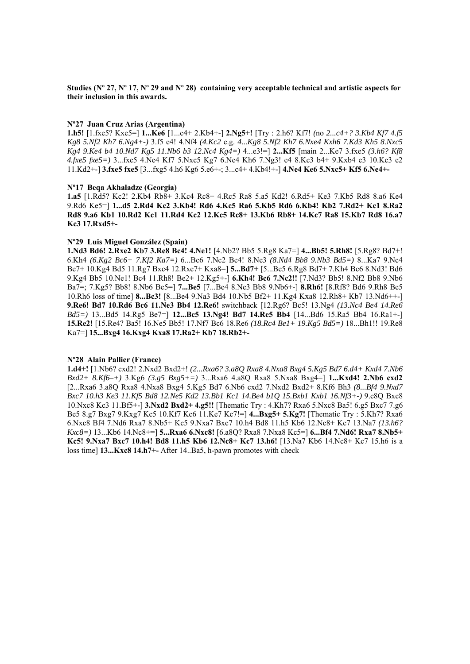**Studies (Nº 27, Nº 17, Nº 29 and Nº 28) containing very acceptable technical and artistic aspects for their inclusion in this awards.** 

#### **Nº27 Juan Cruz Arias (Argentina)**

**1.h5!** [1.fxe5? Kxe5=] **1...Ke6** [1...c4+ 2.Kb4+-] **2.Ng5+!** [Try : 2.h6? Kf7! *(*no *2...c4+? 3.Kb4 Kf7 4.f5 Kg8 5.Nf2 Kh7 6.Ng4+-)* 3.f5 e4! 4.Nf4 *(4.Kc2* e.g. *4...Kg8 5.Nf2 Kh7 6.Nxe4 Kxh6 7.Kd3 Kh5 8.Nxc5 Kg4 9.Ke4 b4 10.Nd7 Kg5 11.Nb6 b3 12.Nc4 Kg4=)* 4...e3!=] **2...Kf5** [main 2...Ke7 3.fxe5 *(3.h6? Kf8 4.fxe5 fxe5=)* 3...fxe5 4.Ne4 Kf7 5.Nxc5 Kg7 6.Ne4 Kh6 7.Ng3! e4 8.Kc3 b4+ 9.Kxb4 e3 10.Kc3 e2 11.Kd2+-] **3.fxe5 fxe5** [3...fxg5 4.h6 Kg6 5.e6+-; 3...c4+ 4.Kb4!+-] **4.Ne4 Ke6 5.Nxc5+ Kf5 6.Ne4+-** 

#### **Nº17 Beqa Akhaladze (Georgia)**

**1.a5** [1.Rd5? Kc2! 2.Kb4 Rb8+ 3.Kc4 Rc8+ 4.Rc5 Ra8 5.a5 Kd2! 6.Rd5+ Ke3 7.Kb5 Rd8 8.a6 Ke4 9.Rd6 Ke5=] **1...d5 2.Rd4 Kc2 3.Kb4! Rd6 4.Kc5 Ra6 5.Kb5 Rd6 6.Kb4! Kb2 7.Rd2+ Kc1 8.Ra2 Rd8 9.a6 Kb1 10.Rd2 Kc1 11.Rd4 Kc2 12.Kc5 Rc8+ 13.Kb6 Rb8+ 14.Kc7 Ra8 15.Kb7 Rd8 16.a7 Kc3 17.Rxd5+-** 

#### **Nº29 Luis Miguel González (Spain)**

**1.Nd3 Bd6! 2.Rxe2 Kb7 3.Re8 Bc4! 4.Ne1!** [4.Nb2? Bb5 5.Rg8 Ka7=] **4...Bb5! 5.Rh8!** [5.Rg8? Bd7+! 6.Kh4 *(6.Kg2 Bc6+ 7.Kf2 Ka7=)* 6...Bc6 7.Nc2 Be4! 8.Ne3 *(8.Nd4 Bb8 9.Nb3 Bd5=)* 8...Ka7 9.Nc4 Be7+ 10.Kg4 Bd5 11.Rg7 Bxc4 12.Rxe7+ Kxa8=] **5...Bd7+** [5...Be5 6.Rg8 Bd7+ 7.Kh4 Bc6 8.Nd3! Bd6 9.Kg4 Bb5 10.Ne1! Bc4 11.Rh8! Be2+ 12.Kg5+-] **6.Kh4! Bc6 7.Nc2!!** [7.Nd3? Bb5! 8.Nf2 Bb8 9.Nb6 Ba7=; 7.Kg5? Bb8! 8.Nb6 Be5=] **7...Be5** [7...Be4 8.Ne3 Bb8 9.Nb6+-] **8.Rh6!** [8.Rf8? Bd6 9.Rh8 Be5 10.Rh6 loss of time] **8...Bc3!** [8...Be4 9.Na3 Bd4 10.Nb5 Bf2+ 11.Kg4 Kxa8 12.Rh8+ Kb7 13.Nd6++-] **9.Re6! Bd7 10.Rd6 Bc6 11.Ne3 Bb4 12.Re6!** switchback [12.Rg6? Bc5! 13.Ng4 *(13.Nc4 Be4 14.Re6 Bd5=)* 13...Bd5 14.Rg5 Be7=] **12...Bc5 13.Ng4! Bd7 14.Re5 Bb4** [14...Bd6 15.Ra5 Bb4 16.Ra1+-] **15.Re2!** [15.Re4? Ba5! 16.Ne5 Bb5! 17.Nf7 Bc6 18.Re6 *(18.Rc4 Be1+ 19.Kg5 Bd5=)* 18...Bh1!! 19.Re8 Ka7=] **15...Bxg4 16.Kxg4 Kxa8 17.Ra2+ Kb7 18.Rb2+-** 

## **Nº28 Alain Pallier (France)**

**1.d4+!** [1.Nb6? cxd2! 2.Nxd2 Bxd2+! *(2...Rxa6? 3.a8Q Rxa8 4.Nxa8 Bxg4 5.Kg5 Bd7 6.d4+ Kxd4 7.Nb6 Bxd2+ 8.Kf6–+)* 3.Kg6 *(3.g5 Bxg5+=)* 3...Rxa6 4.a8Q Rxa8 5.Nxa8 Bxg4=] **1...Kxd4! 2.Nb6 cxd2**  [2...Rxa6 3.a8Q Rxa8 4.Nxa8 Bxg4 5.Kg5 Bd7 6.Nb6 cxd2 7.Nxd2 Bxd2+ 8.Kf6 Bh3 *(8...Bf4 9.Nxd7 Bxc7 10.h3 Ke3 11.Kf5 Bd8 12.Ne5 Kd2 13.Bb1 Kc1 14.Be4 b1Q 15.Bxb1 Kxb1 16.Nf3+-)* 9.c8Q Bxc8 10.Nxc8 Kc3 11.Bf5+-] **3.Nxd2 Bxd2+ 4.g5!!** [Thematic Try : 4.Kh7? Rxa6 5.Nxc8 Ba5! 6.g5 Bxc7 7.g6 Be5 8.g7 Bxg7 9.Kxg7 Kc5 10.Kf7 Kc6 11.Ke7 Kc7!=] **4...Bxg5+ 5.Kg7!** [Thematic Try : 5.Kh7? Rxa6 6.Nxc8 Bf4 7.Nd6 Rxa7 8.Nb5+ Kc5 9.Nxa7 Bxc7 10.h4 Bd8 11.h5 Kb6 12.Nc8+ Kc7 13.Na7 *(13.h6? Kxc8=)* 13...Kb6 14.Nc8+=] **5...Rxa6 6.Nxc8!** [6.a8Q? Rxa8 7.Nxa8 Kc5=] **6...Bf4 7.Nd6! Rxa7 8.Nb5+ Kc5! 9.Nxa7 Bxc7 10.h4! Bd8 11.h5 Kb6 12.Nc8+ Kc7 13.h6!** [13.Na7 Kb6 14.Nc8+ Kc7 15.h6 is a loss time] **13...Kxc8 14.h7+-** After 14..Ba5, h-pawn promotes with check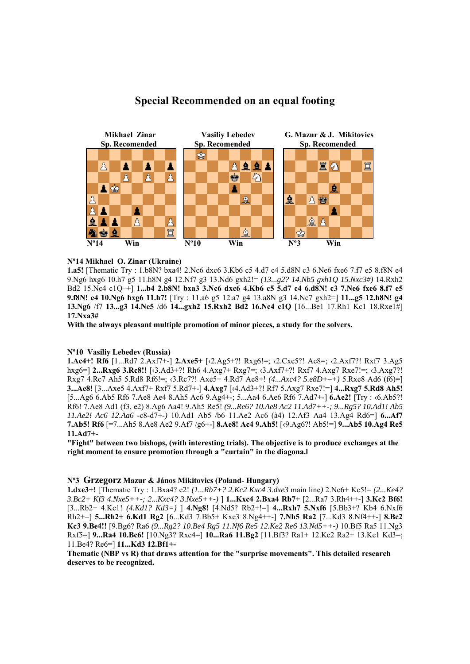![](_page_17_Figure_0.jpeg)

## **Special Recommended on an equal footing**

## **Nº14 Mikhael O. Zinar (Ukraine)**

**1.a5!** [Thematic Try : 1.b8N? bxa4! 2.Nc6 dxc6 3.Kb6 c5 4.d7 c4 5.d8N c3 6.Ne6 fxe6 7.f7 e5 8.f8N e4 9.Ng6 hxg6 10.h7 g5 11.h8N g4 12.Nf7 g3 13.Nd6 gxh2!= *(13...g2? 14.Nb5 gxh1Q 15.Nxc3#)* 14.Rxh2 Bd2 15.Nc4 c1Q–+] **1...b4 2.b8N! bxa3 3.Nc6 dxc6 4.Kb6 c5 5.d7 c4 6.d8N! c3 7.Ne6 fxe6 8.f7 e5 9.f8N! e4 10.Ng6 hxg6 11.h7!** [Try : 11.a6 g5 12.a7 g4 13.a8N g3 14.Nc7 gxh2=] **11...g5 12.h8N! g4 13.Ng6** /f7 **13...g3 14.Ne5** /d6 **14...gxh2 15.Rxh2 Bd2 16.Nc4 c1Q** [16...Be1 17.Rh1 Kc1 18.Rxe1#] **17.Nxa3#** 

**With the always pleasant multiple promotion of minor pieces, a study for the solvers.** 

#### **Nº10 Vasiliy Lebedev (Russia)**

**1.Ac4+! Rf6** [1...Rd7 2.Axf7+-] **2.Axe5+** [‹2.Ag5+?! Rxg6!=; ‹2.Cxe5?! Ae8=; ‹2.Axf7?! Rxf7 3.Ag5 hxg6=] **2...Rxg6 3.Rc8!!** [‹3.Ad3+?! Rh6 4.Axg7+ Rxg7=; ‹3.Axf7+?! Rxf7 4.Axg7 Rxe7!=; ‹3.Axg7?! Rxg7 4.Rc7 Ah5 5.Rd8 Rf6!=; ‹3.Rc7?! Axe5+ 4.Rd7 Ae8+! *(4...Axc4? 5.e8D+–+)* 5.Rxe8 Ad6 (f6)=] **3...Ae8!** [3...Axe5 4.Axf7+ Rxf7 5.Rd7+-] **4.Axg7** [‹4.Ad3+?! Rf7 5.Axg7 Rxe7!=] **4...Rxg7 5.Rd8 Ah5!**  [5...Ag6 6.Ab5 Rf6 7.Ae8 Ae4 8.Ah5 Ac6 9.Ag4+-; 5...Aa4 6.Ae6 Rf6 7.Ad7+-] **6.Ae2!** [Try : ‹6.Ab5?! Rf6! 7.Ae8 Ad1 (f3, e2) 8.Ag6 Aa4! 9.Ah5 Re5! *(9...Re6? 10.Ae8 Ac2 11.Ad7++-; 9...Rg5? 10.Ad1! Ab5 11.Ae2! Ac6 12.Aa6* -c8-d7+-*)* 10.Ad1 Ab5 /b6 11.Ae2 Ac6 (à4) 12.Af3 Aa4 13.Ag4 Rd6=] **6...Af7 7.Ab5! Rf6** [=7...Ah5 8.Ae8 Ae2 9.Af7 /g6+-] **8.Ae8! Ac4 9.Ah5!** [‹9.Ag6?! Ab5!=] **9...Ab5 10.Ag4 Re5 11.Ad7+-** 

**"Fight" between two bishops, (with interesting trials). The objective is to produce exchanges at the right moment to ensure promotion through a "curtain" in the diagona.l** 

#### **Nº3 Grzegorz Mazur & János Mikitovics (Poland- Hungary)**

**1.dxe3+!** [Thematic Try : 1.Bxa4? e2! *(1...Rb7+? 2.Kc2 Kxc4 3.dxe3* main line*)* 2.Nc6+ Kc5!= *(2...Ke4? 3.Bc2+ Kf3 4.Nxe5++-; 2...Kxc4? 3.Nxe5++-)* ] **1...Kxc4 2.Bxa4 Rb7+** [2...Ra7 3.Rh4++-] **3.Kc2 Bf6!**  [3...Rb2+ 4.Kc1! *(4.Kd1? Kd3=)* ] **4.Ng8!** [4.Nd5? Rb2+!=] **4...Rxh7 5.Nxf6** [5.Bb3+? Kb4 6.Nxf6 Rh2+=] **5...Rh2+ 6.Kd1 Rg2** [6...Kd3 7.Bb5+ Kxe3 8.Ng4++-] **7.Nh5 Ra2** [7...Kd3 8.Nf4++-] **8.Bc2 Kc3 9.Be4!!** [9.Bg6? Ra6 *(9...Rg2? 10.Be4 Rg5 11.Nf6 Re5 12.Ke2 Re6 13.Nd5++-)* 10.Bf5 Ra5 11.Ng3 Rxf5=] **9...Ra4 10.Bc6!** [10.Ng3? Rxe4=] **10...Ra6 11.Bg2** [11.Bf3? Ra1+ 12.Ke2 Ra2+ 13.Ke1 Kd3=; 11.Be4? Re6=] **11...Kd3 12.Bf1+-** 

**Thematic (NBP vs R) that draws attention for the "surprise movements". This detailed research deserves to be recognized.**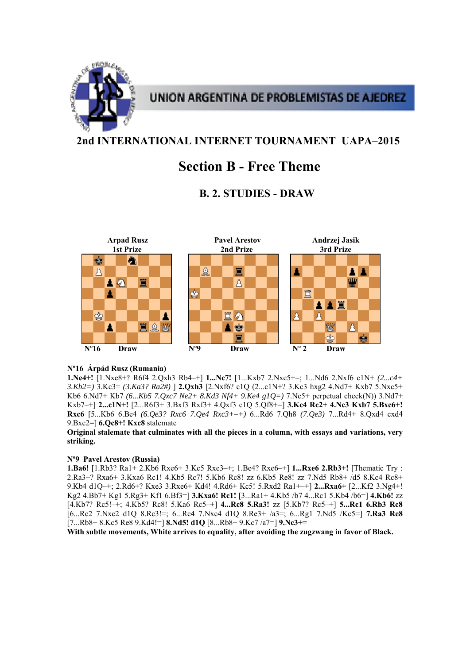![](_page_18_Picture_0.jpeg)

## **2nd INTERNATIONAL INTERNET TOURNAMENT UAPA–2015**

# **Section B - Free Theme**

## **B. 2. STUDIES - DRAW**

![](_page_18_Figure_5.jpeg)

## **Nº16 Árpád Rusz (Rumania)**

**1.Ne4+!** [1.Nxe8+? R6f4 2.Qxh3 Rb4–+] **1...Nc7!** [1...Kxb7 2.Nxc5+=; 1...Nd6 2.Nxf6 c1N+ *(2...c4+ 3.Kb2=)* 3.Kc3= *(3.Ka3? Ra2#)* ] **2.Qxh3** [2.Nxf6? c1Q (2...c1N+? 3.Kc3 hxg2 4.Nd7+ Kxb7 5.Nxc5+ Kb6 6.Nd7+ Kb7 *(6...Kb5 7.Qxc7 Ne2+ 8.Kd3 Nf4+ 9.Ke4 g1Q=)* 7.Nc5+ perpetual check(N)) 3.Nd7+ Kxb7–+] **2...c1N+!** [2...R6f3+ 3.Bxf3 Rxf3+ 4.Qxf3 c1Q 5.Qf8+=] **3.Kc4 Rc2+ 4.Nc3 Kxb7 5.Bxc6+! Rxc6** [5...Kb6 6.Be4 *(6.Qe3? Rxc6 7.Qe4 Rxc3+–+)* 6...Rd6 7.Qh8 *(7.Qe3)* 7...Rd4+ 8.Qxd4 cxd4 9.Bxc2=] **6.Qc8+! Kxc8** stalemate

**Original stalemate that culminates with all the pieces in a column, with essays and variations, very striking.** 

## **Nº9 Pavel Arestov (Russia)**

**1.Ba6!** [1.Rb3? Ra1+ 2.Kb6 Rxe6+ 3.Kc5 Rxe3–+; 1.Be4? Rxe6–+] **1...Rxe6 2.Rb3+!** [Thematic Try : 2.Ra3+? Rxa6+ 3.Kxa6 Rc1! 4.Kb5 Rc7! 5.Kb6 Rc8! zz 6.Kb5 Re8! zz 7.Nd5 Rb8+ /d5 8.Kc4 Rc8+ 9.Kb4 d1Q–+; 2.Rd6+? Kxe3 3.Rxe6+ Kd4! 4.Rd6+ Kc5! 5.Rxd2 Ra1+–+] **2...Rxa6+** [2...Kf2 3.Ng4+! Kg2 4.Bb7+ Kg1 5.Rg3+ Kf1 6.Bf3=] **3.Kxa6! Rc1!** [3...Ra1+ 4.Kb5 /b7 4...Rc1 5.Kb4 /b6=] **4.Kb6!** zz [4.Kb7? Rc5!–+; 4.Kb5? Rc8! 5.Ka6 Rc5–+] **4...Rc8 5.Ra3!** zz [5.Kb7? Rc5–+] **5...Rc1 6.Rb3 Rc8**  [6...Rc2 7.Nxc2 d1Q 8.Rc3!=; 6...Rc4 7.Nxc4 d1Q 8.Re3+ /a3=; 6...Rg1 7.Nd5 /Kc5=] **7.Ra3 Re8**  [7...Rb8+ 8.Kc5 Re8 9.Kd4!=] **8.Nd5! d1Q** [8...Rb8+ 9.Kc7 /a7=] **9.Nc3+=** 

**With subtle movements, White arrives to equality, after avoiding the zugzwang in favor of Black.**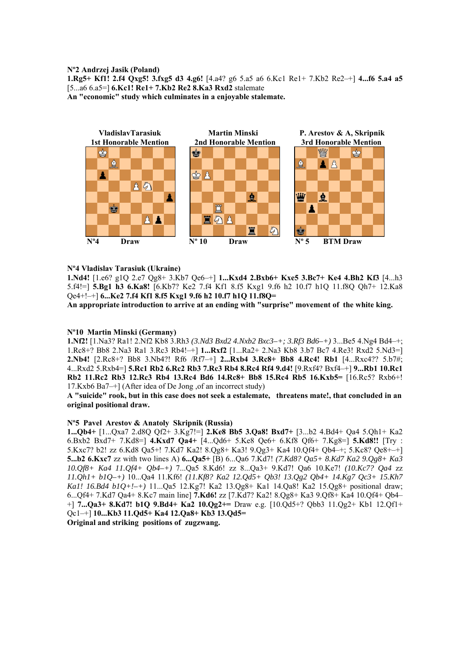### **Nº2 Andrzej Jasik (Poland)**

**1.Rg5+ Kf1! 2.f4 Qxg5! 3.fxg5 d3 4.g6!** [4.a4? g6 5.a5 a6 6.Kc1 Re1+ 7.Kb2 Re2–+] **4...f6 5.a4 a5**  [5...a6 6.a5=] **6.Kc1! Re1+ 7.Kb2 Re2 8.Ka3 Rxd2** stalemate **An "economic" study which culminates in a enjoyable stalemate.** 

![](_page_19_Figure_2.jpeg)

## **Nº4 Vladislav Tarasiuk (Ukraine)**

**1.Nd4!** [1.e6? g1Q 2.e7 Qg8+ 3.Kb7 Qe6–+] **1...Kxd4 2.Bxb6+ Kxe5 3.Bc7+ Ke4 4.Bh2 Kf3** [4...h3 5.f4!=] **5.Bg1 h3 6.Ka8!** [6.Kb7? Ke2 7.f4 Kf1 8.f5 Kxg1 9.f6 h2 10.f7 h1Q 11.f8Q Qh7+ 12.Ka8 Qe4+!–+] **6...Ke2 7.f4 Kf1 8.f5 Kxg1 9.f6 h2 10.f7 h1Q 11.f8Q=** 

**An appropriate introduction to arrive at an ending with "surprise" movement of the white king.** 

## **Nº10 Martin Minski (Germany)**

**1.Nf2!** [1.Na3? Ra1! 2.Nf2 Kb8 3.Rh3 *(3.Nd3 Bxd2 4.Nxb2 Bxc3–+; 3.Rf3 Bd6–+)* 3...Be5 4.Ng4 Bd4–+; 1.Rc8+? Bb8 2.Na3 Ra1 3.Rc3 Rb4!–+] **1...Rxf2** [1...Ra2+ 2.Na3 Kb8 3.b7 Bc7 4.Re3! Rxd2 5.Nd3=] **2.Nb4!** [2.Rc8+? Bb8 3.Nb4?! Rf6 /Rf7–+] **2...Rxb4 3.Rc8+ Bb8 4.Rc4! Rb1** [4...Rxc4?? 5.b7#; 4...Rxd2 5.Rxb4=] **5.Rc1 Rb2 6.Rc2 Rb3 7.Rc3 Rb4 8.Rc4 Rf4 9.d4!** [9.Rxf4? Bxf4–+] **9...Rb1 10.Rc1 Rb2 11.Rc2 Rb3 12.Rc3 Rb4 13.Rc4 Bd6 14.Rc8+ Bb8 15.Rc4 Rb5 16.Kxb5=** [16.Rc5? Rxb6+! 17.Kxb6 Ba7–+] (After idea of De Jong ,of an incorrect study)

**A "suicide" rook, but in this case does not seek a estalemate, threatens mate!, that concluded in an original positional draw.** 

### **Nº5 Pavel Arestov & Anatoly Skripnik (Russia)**

**1...Qb4+** [1...Qxa7 2.d8Q Qf2+ 3.Kg7!=] **2.Ke8 Bb5 3.Qa8! Bxd7+** [3...b2 4.Bd4+ Qa4 5.Qh1+ Ka2 6.Bxb2 Bxd7+ 7.Kd8=] **4.Kxd7 Qa4+** [4...Qd6+ 5.Ke8 Qe6+ 6.Kf8 Qf6+ 7.Kg8=] **5.Kd8!!** [Try : 5.Kxc7? b2! zz 6.Kd8 Qa5+! 7.Kd7 Ka2! 8.Qg8+ Ka3! 9.Qg3+ Ka4 10.Qf4+ Qb4–+; 5.Kc8? Qe8+–+] **5...b2 6.Kxc7** zz with two lines A) **6...Qa5+** [B) 6...Qa6 7.Kd7! *(7.Kd8? Qa5+ 8.Kd7 Ka2 9.Qg8+ Ka3 10.Qf8+ Ka4 11.Qf4+ Qb4–+)* 7...Qa5 8.Kd6! zz 8...Qa3+ 9.Kd7! Qa6 10.Ke7! *(10.Kc7? Qa4* zz *11.Qh1+ b1Q–+)* 10...Qa4 11.Kf6! *(11.Kf8? Ka2 12.Qd5+ Qb3! 13.Qg2 Qb4+ 14.Kg7 Qc3+ 15.Kh7 Ka1! 16.Bd4 b1Q+!–+)* 11...Qa5 12.Kg7! Ka2 13.Qg8+ Ka1 14.Qa8! Ka2 15.Qg8+ positional draw; 6...Qf4+ 7.Kd7 Qa4+ 8.Kc7 main line] **7.Kd6!** zz [7.Kd7? Ka2! 8.Qg8+ Ka3 9.Qf8+ Ka4 10.Qf4+ Qb4– +] **7...Qa3+ 8.Kd7! b1Q 9.Bd4+ Ka2 10.Qg2+=** Draw e.g. [10.Qd5+? Qbb3 11.Qg2+ Kb1 12.Qf1+ Qc1–+] **10...Kb3 11.Qd5+ Ka4 12.Qa8+ Kb3 13.Qd5=** 

**Original and striking positions of zugzwang.**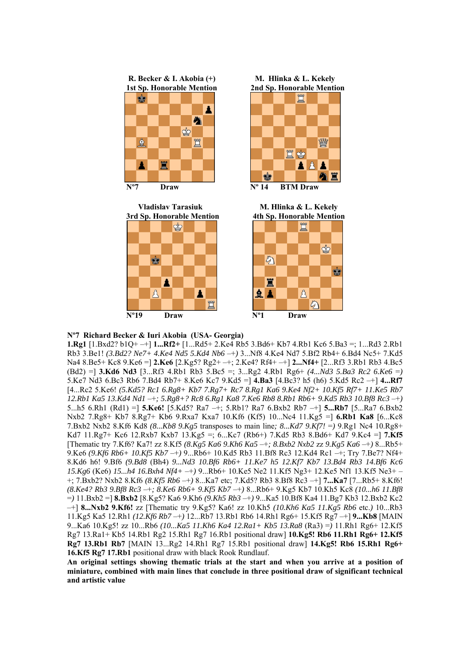![](_page_20_Figure_0.jpeg)

![](_page_20_Figure_1.jpeg)

![](_page_20_Picture_2.jpeg)

![](_page_20_Figure_4.jpeg)

![](_page_20_Figure_5.jpeg)

#### **Nº7 Richard Becker & Iuri Akobia (USA- Georgia)**

 $\beta$ 

Δ

**1.Rg1** [1.Bxd2? b1Q+ –+] **1...Rf2+** [1...Rd5+ 2.Ke4 Rb5 3.Bd6+ Kb7 4.Rb1 Kc6 5.Ba3 =; 1...Rd3 2.Rb1 Rb3 3.Be1! *(3.Bd2? Ne7+ 4.Ke4 Nd5 5.Kd4 Nb6* –+*)* 3...Nf8 4.Ke4 Nd7 5.Bf2 Rb4+ 6.Bd4 Nc5+ 7.Kd5 Na4 8.Be5+ Kc8 9.Ke6 =] **2.Ke6** [2.Kg5? Rg2+ –+; 2.Ke4? Rf4+ –+] **2...Nf4+** [2...Rf3 3.Rb1 Rb3 4.Bc5 (Bd2) =] **3.Kd6 Nd3** [3...Rf3 4.Rb1 Rb3 5.Bc5 =; 3...Rg2 4.Rb1 Rg6+ *(4...Nd3 5.Ba3 Rc2 6.Ke6* =*)*  5.Ke7 Nd3 6.Bc3 Rb6 7.Bd4 Rb7+ 8.Ke6 Kc7 9.Kd5 =] **4.Ba3** [4.Bc3? h5 (h6) 5.Kd5 Rc2 –+] **4...Rf7**  [4...Rc2 5.Ke6! *(5.Kd5? Rc1 6.Rg8+ Kb7 7.Rg7+ Rc7 8.Rg1 Ka6 9.Ke4 Nf2+ 10.Kf5 Rf7+ 11.Ke5 Rb7 12.Rb1 Ka5 13.Kd4 Nd1* –+*; 5.Rg8+? Rc8 6.Rg1 Ka8 7.Ke6 Rb8 8.Rb1 Rb6+ 9.Kd5 Rb3 10.Bf8 Rc3* –+*)*  5...h5 6.Rh1 (Rd1) =] **5.Ke6!** [5.Kd5? Ra7 –+; 5.Rb1? Ra7 6.Bxb2 Rb7 –+] **5...Rb7** [5...Ra7 6.Bxb2 Nxb2 7.Rg8+ Kb7 8.Rg7+ Kb6 9.Rxa7 Kxa7 10.Kf6 (Kf5) 10...Nc4 11.Kg5 =] **6.Rb1 Ka8** [6...Kc8 7.Bxb2 Nxb2 8.Kf6 Kd8 *(8...Kb8 9.Kg5* transposes to main line*; 8...Kd7 9.Kf7!* =*)* 9.Rg1 Nc4 10.Rg8+ Kd7 11.Rg7+ Kc6 12.Rxb7 Kxb7 13.Kg5 =; 6...Kc7 (Rb6+) 7.Kd5 Rb3 8.Bd6+ Kd7 9.Kc4 =] **7.Kf5**  [Thematic try 7.Kf6? Ka7! zz 8.Kf5 *(8.Kg5 Ka6 9.Kh6 Ka5* –+*; 8.Bxb2 Nxb2* zz *9.Kg5 Ka6* –+*)* 8...Rb5+ 9.Ke6 *(9.Kf6 Rb6+ 10.Kf5 Kb7* –+*)* 9...Rb6+ 10.Kd5 Rb3 11.Bf8 Rc3 12.Kd4 Rc1 –+; Try 7.Be7? Nf4+ 8.Kd6 h6! 9.Bf6 *(9.Bd8* (Bh4) *9...Nd3 10.Bf6 Rb6+ 11.Ke7 h5 12.Kf7 Kb7 13.Bd4 Rb3 14.Bf6 Kc6 15.Kg6* (Ke6) *15...h4 16.Bxh4 Nf4+* –+*)* 9...Rb6+ 10.Ke5 Ne2 11.Kf5 Ng3+ 12.Ke5 Nf1 13.Kf5 Ne3+ – +; 7.Bxb2? Nxb2 8.Kf6 *(8.Kf5 Rb6* –+*)* 8...Ka7 etc; 7.Kd5? Rb3 8.Bf8 Rc3 –+] **7...Ka7** [7...Rb5+ 8.Kf6! *(8.Ke4? Rb3 9.Bf8 Rc3* –+*; 8.Ke6 Rb6+ 9.Kf5 Kb7* –+*)* 8...Rb6+ 9.Kg5 Kb7 10.Kh5 Kc8 *(10...h6 11.Bf8*  =*)* 11.Bxb2 =] **8.Bxb2** [8.Kg5? Ka6 9.Kh6 *(9.Kh5 Rb3* –+*)* 9...Ka5 10.Bf8 Ka4 11.Bg7 Kb3 12.Bxb2 Kc2 –+] **8...Nxb2 9.Kf6!** zz [Thematic try 9.Kg5? Ka6! zz 10.Kh5 *(10.Kh6 Ka5 11.Kg5 Rb6* etc.*)* 10...Rb3 11.Kg5 Ka5 12.Rh1 *(12.Kf6 Rb7* –+*)* 12...Rb7 13.Rb1 Rb6 14.Rh1 Rg6+ 15.Kf5 Rg7 –+] **9...Kb8** [MAIN 9...Ka6 10.Kg5! zz 10...Rb6 *(10...Ka5 11.Kh6 Ka4 12.Ra1+ Kb5 13.Ra8* (Ra3) =*)* 11.Rh1 Rg6+ 12.Kf5 Rg7 13.Ra1+ Kb5 14.Rb1 Rg2 15.Rh1 Rg7 16.Rb1 positional draw] **10.Kg5! Rb6 11.Rh1 Rg6+ 12.Kf5 Rg7 13.Rb1 Rb7** [MAIN 13...Rg2 14.Rh1 Rg7 15.Rb1 positional draw] **14.Kg5! Rb6 15.Rh1 Rg6+ 16.Kf5 Rg7 17.Rb1** positional draw with black Rook Rundlauf.

**An original settings showing thematic trials at the start and when you arrive at a position of miniature, combined with main lines that conclude in three positional draw of significant technical and artistic value**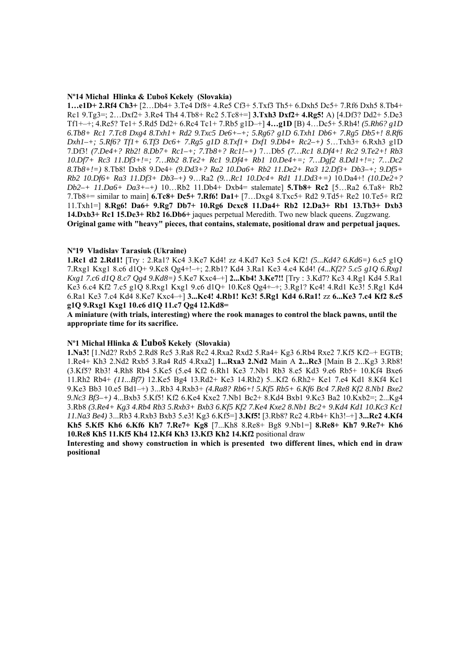#### **Nº14 Michal Hlinka & Ľuboš Kekely (Slovakia)**

**1…e1D+ 2.Rf4 Ch3+** [2…Db4+ 3.Te4 Df8+ 4.Re5 Cf3+ 5.Txf3 Th5+ 6.Dxh5 Dc5+ 7.Rf6 Dxh5 8.Tb4+ Rc1 9.Tg3=; 2…Dxf2+ 3.Re4 Th4 4.Tb8+ Rc2 5.Tc8+=] **3.Txh3 Dxf2+ 4.Rg5!** A) [4.Df3? Dd2+ 5.De3 Tf1+–+; 4.Re5? Te1+ 5.Rd5 Dd2+ 6.Rc4 Tc1+ 7.Rb5 g1D–+] **4…g1D** [B) 4…Dc5+ 5.Rh4! *(5.Rh6? g1D 6.Tb8+ Rc1 7.Tc8 Dxg4 8.Txh1+ Rd2 9.Txc5 De6+–+; 5.Rg6? g1D 6.Txh1 Db6+ 7.Rg5 Db5+! 8.Rf6 Dxh1–+; 5.Rf6? Tf1+ 6.Tf3 Dc6+ 7.Rg5 g1D 8.Txf1+ Dxf1 9.Db4+ Rc2–+)* 5…Txh3+ 6.Rxh3 g1D 7.Df3! *(7.De4+? Rb2! 8.Db7+ Rc1–+; 7.Tb8+? Rc1!–+)* 7…Db5 *(7…Rc1 8.Df4+! Rc2 9.Te2+! Rb3 10.Df7+ Rc3 11.Df3+!=; 7…Rb2 8.Te2+ Rc1 9.Df4+ Rb1 10.De4+=; 7…Dgf2 8.Dd1+!=; 7…Dc2 8.Tb8+!=)* 8.Tb8! Dxb8 9.De4+ *(9.Dd3+? Ra2 10.Da6+ Rb2 11.De2+ Ra3 12.Df3+ Db3–+; 9.Df5+ Rb2 10.Df6+ Ra3 11.Df3+ Db3–+)* 9…Ra2 *(9…Rc1 10.Dc4+ Rd1 11.Dd3+=)* 10.Da4+! *(10.De2+? Db2–+ 11.Da6+ Da3+–+)* 10…Rb2 11.Db4+ Dxb4= stalemate] **5.Tb8+ Rc2** [5…Ra2 6.Ta8+ Rb2 7.Tb8+= similar to main] **6.Tc8+ Dc5+ 7.Rf6! Da1+** [7…Dxg4 8.Txc5+ Rd2 9.Td5+ Re2 10.Te5+ Rf2 11.Txh1=] **8.Rg6! Da6+ 9.Rg7 Db7+ 10.Rg6 Dcxc8 11.Da4+ Rb2 12.Da3+ Rb1 13.Tb3+ Dxb3 14.Dxb3+ Rc1 15.De3+ Rb2 16.Db6+** jaques perpetual Meredith. Two new black queens. Zugzwang. **Original game with "heavy" pieces, that contains, stalemate, positional draw and perpetual jaques.** 

## **Nº19 Vladislav Tarasiuk (Ukraine)**

**1.Rc1 d2 2.Rd1!** [Try : 2.Ra1? Kc4 3.Ke7 Kd4! zz 4.Kd7 Ke3 5.c4 Kf2! *(5...Kd4? 6.Kd6=)* 6.c5 g1Q 7.Rxg1 Kxg1 8.c6 d1Q+ 9.Kc8 Qg4+!–+; 2.Rb1? Kd4 3.Ra1 Ke3 4.c4 Kd4! *(4...Kf2? 5.c5 g1Q 6.Rxg1 Kxg1 7.c6 d1Q 8.c7 Qg4 9.Kd8=)* 5.Ke7 Kxc4–+] **2...Kb4! 3.Ke7!!** [Try : 3.Kd7? Kc3 4.Rg1 Kd4 5.Ra1 Ke3 6.c4 Kf2 7.c5 g1Q 8.Rxg1 Kxg1 9.c6 d1Q+ 10.Kc8 Qg4+–+; 3.Rg1? Kc4! 4.Rd1 Kc3! 5.Rg1 Kd4 6.Ra1 Ke3 7.c4 Kd4 8.Ke7 Kxc4–+] **3...Kc4! 4.Rb1! Kc3! 5.Rg1 Kd4 6.Ra1!** zz **6...Ke3 7.c4 Kf2 8.c5 g1Q 9.Rxg1 Kxg1 10.c6 d1Q 11.c7 Qg4 12.Kd8=** 

**A miniature (with trials, interesting) where the rook manages to control the black pawns, until the appropriate time for its sacrifice.** 

## **Nº1 Michal Hlinka & Ľuboš Kekely (Slovakia)**

**1.Na3!** [1.Nd2? Rxb5 2.Rd8 Rc5 3.Ra8 Rc2 4.Rxa2 Rxd2 5.Ra4+ Kg3 6.Rb4 Rxe2 7.Kf5 Kf2–+ EGTB; 1.Re4+ Kh3 2.Nd2 Rxb5 3.Ra4 Rd5 4.Rxa2] **1...Rxa3 2.Nd2** Main A **2...Rc3** [Main B 2...Kg3 3.Rb8! (3.Kf5? Rb3! 4.Rh8 Rb4 5.Ke5 (5.e4 Kf2 6.Rh1 Ke3 7.Nb1 Rb3 8.e5 Kd3 9.e6 Rb5+ 10.Kf4 Bxe6 11.Rh2 Rb4+ *(11...Bf7)* 12.Ke5 Bg4 13.Rd2+ Ke3 14.Rh2) 5...Kf2 6.Rh2+ Ke1 7.e4 Kd1 8.Kf4 Kc1 9.Ke3 Bb3 10.e5 Bd1–+) 3...Rb3 4.Rxb3+ *(4.Ra8? Rb6+! 5.Kf5 Rb5+ 6.Kf6 Bc4 7.Re8 Kf2 8.Nb1 Bxe2 9.Nc3 Bf3–+)* 4...Bxb3 5.Kf5! Kf2 6.Ke4 Kxe2 7.Nb1 Bc2+ 8.Kd4 Bxb1 9.Kc3 Ba2 10.Kxb2=; 2...Kg4 3.Rb8 *(3.Re4+ Kg3 4.Rb4 Rb3 5.Rxb3+ Bxb3 6.Kf5 Kf2 7.Ke4 Kxe2 8.Nb1 Bc2+ 9.Kd4 Kd1 10.Kc3 Kc1 11.Na3 Be4)* 3...Rb3 4.Rxb3 Bxb3 5.e3! Kg3 6.Kf5=] **3.Kf5!** [3.Rb8? Rc2 4.Rb4+ Kh3!–+] **3...Rc2 4.Kf4 Kh5 5.Kf5 Kh6 6.Kf6 Kh7 7.Re7+ Kg8** [7...Kh8 8.Re8+ Bg8 9.Nb1=] **8.Re8+ Kh7 9.Re7+ Kh6 10.Re8 Kh5 11.Kf5 Kh4 12.Kf4 Kh3 13.Kf3 Kh2 14.Kf2** positional draw

**Interesting and showy construction in which is presented two different lines, which end in draw positional**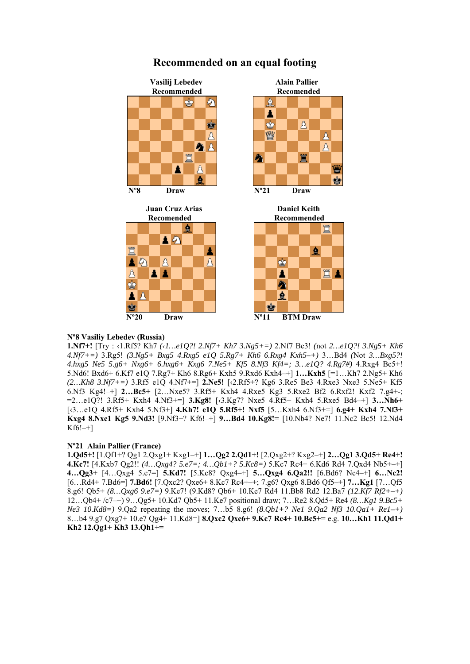![](_page_22_Figure_0.jpeg)

買

買

## **Recommended on an equal footing**

## **Nº8 Vasiliy Lebedev (Russia)**

**1.Nf7+!** [Try : ‹1.Rf5? Kh7 *(‹1…e1Q?! 2.Nf7+ Kh7 3.Ng5+=)* 2.Nf7 Be3! *(*not *2…e1Q?! 3.Ng5+ Kh6 4.Nf7+=)* 3.Rg5! *(3.Ng5+ Bxg5 4.Rxg5 e1Q 5.Rg7+ Kh6 6.Rxg4 Kxh5–+)* 3…Bd4 *(*Not *3…Bxg5?! 4.hxg5 Ne5 5.g6+ Nxg6+ 6.hxg6+ Kxg6 7.Ne5+ Kf5 8.Nf3 Kf4=; 3…e1Q? 4.Rg7#)* 4.Rxg4 Bc5+! 5.Nd6! Bxd6+ 6.Kf7 e1Q 7.Rg7+ Kh6 8.Rg6+ Kxh5 9.Rxd6 Kxh4–+] **1…Kxh5** [=1…Kh7 2.Ng5+ Kh6 *(2…Kh8 3.Nf7+=)* 3.Rf5 e1Q 4.Nf7+=] **2.Ne5!** [‹2.Rf5+? Kg6 3.Re5 Be3 4.Rxe3 Nxe3 5.Ne5+ Kf5 6.Nf3 Kg4!–+] **2…Bc5+** [2…Nxe5? 3.Rf5+ Kxh4 4.Rxe5 Kg3 5.Rxe2 Bf2 6.Rxf2! Kxf2 7.g4+-; =2…e1Q?! 3.Rf5+ Kxh4 4.Nf3+=] **3.Kg8!** [‹3.Kg7? Nxe5 4.Rf5+ Kxh4 5.Rxe5 Bd4–+] **3…Nh6+**  [‹3…e1Q 4.Rf5+ Kxh4 5.Nf3+] **4.Kh7! e1Q 5.Rf5+! Nxf5** [5…Kxh4 6.Nf3+=] **6.g4+ Kxh4 7.Nf3+ Kxg4 8.Nxe1 Kg5 9.Nd3!** [9.Nf3+? Kf6!–+] **9…Bd4 10.Kg8!=** [10.Nb4? Ne7! 11.Nc2 Bc5! 12.Nd4  $Kf6! -1$ 

## **Nº21 Alain Pallier (France)**

**1.Qd5+!** [1.Qf1+? Qg1 2.Qxg1+ Kxg1–+] **1…Qg2 2.Qd1+!** [2.Qxg2+? Kxg2–+] **2…Qg1 3.Qd5+ Re4+! 4.Kc7!** [4.Kxb7 Qg2!! *(4…Qxg4? 5.e7=; 4…Qb1+? 5.Kc8=)* 5.Kc7 Rc4+ 6.Kd6 Rd4 7.Qxd4 Nb5+–+] **4…Qg3+** [4…Qxg4 5.e7=] **5.Kd7!** [5.Kc8? Qxg4–+] **5…Qxg4 6.Qa2!!** [6.Bd6? Nc4–+] **6…Nc2!**  [6…Rd4+ 7.Bd6=] **7.Bd6!** [7.Qxc2? Qxe6+ 8.Kc7 Rc4+–+; 7.g6? Qxg6 8.Bd6 Qf5–+] **7…Kg1** [7…Qf5 8.g6! Qb5+ *(8…Qxg6 9.e7=)* 9.Ke7! (9.Kd8? Qb6+ 10.Ke7 Rd4 11.Bb8 Rd2 12.Ba7 *(12.Kf7 Rf2+–+)*  12…Qb4+ /c7–+) 9…Qg5+ 10.Kd7 Qb5+ 11.Ke7 positional draw; 7…Re2 8.Qd5+ Re4 *(8…Kg1 9.Bc5+ Ne3 10.Kd8=)* 9.Qa2 repeating the moves; 7…b5 8.g6! *(8.Qb1+? Ne1 9.Qa2 Nf3 10.Qa1+ Re1–+)*  8…b4 9.g7 Qxg7+ 10.e7 Qg4+ 11.Kd8=] **8.Qxc2 Qxe6+ 9.Kc7 Rc4+ 10.Bc5+=** e.g. **10…Kh1 11.Qd1+ Kh2 12.Qg1+ Kh3 13.Qh1+=**